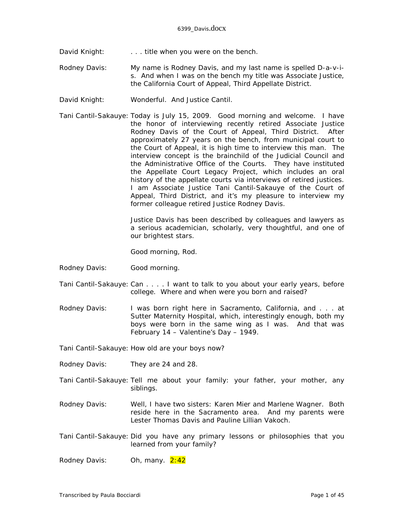- David Knight: . . . . title when you were on the bench.
- Rodney Davis: My name is Rodney Davis, and my last name is spelled D-a-v-is. And when I was on the bench my title was Associate Justice, the California Court of Appeal, Third Appellate District.
- David Knight: Wonderful. And Justice Cantil.
- Tani Cantil-Sakauye: Today is July 15, 2009. Good morning and welcome. I have the honor of interviewing recently retired Associate Justice Rodney Davis of the Court of Appeal, Third District. After approximately 27 years on the bench, from municipal court to the Court of Appeal, it is high time to interview this man. The interview concept is the brainchild of the Judicial Council and the Administrative Office of the Courts. They have instituted the Appellate Court Legacy Project, which includes an oral history of the appellate courts via interviews of retired justices. I am Associate Justice Tani Cantil-Sakauye of the Court of Appeal, Third District, and it's my pleasure to interview my former colleague retired Justice Rodney Davis.

Justice Davis has been described by colleagues and lawyers as a serious academician, scholarly, very thoughtful, and one of our brightest stars.

Good morning, Rod.

- Rodney Davis: Good morning.
- Tani Cantil-Sakauye: Can . . . . I want to talk to you about your early years, before college. Where and when were you born and raised?
- Rodney Davis: I was born right here in Sacramento, California, and . . . at Sutter Maternity Hospital, which, interestingly enough, both my boys were born in the same wing as I was. And that was February 14 – Valentine's Day – 1949.

Tani Cantil-Sakauye: How old are your boys now?

- Rodney Davis: They are 24 and 28.
- Tani Cantil-Sakauye: Tell me about your family: your father, your mother, any siblings.
- Rodney Davis: Well, I have two sisters: Karen Mier and Marlene Wagner. Both reside here in the Sacramento area. And my parents were Lester Thomas Davis and Pauline Lillian Vakoch.
- Tani Cantil-Sakauye: Did you have any primary lessons or philosophies that you learned from your family?

Rodney Davis: Oh, many. 2:42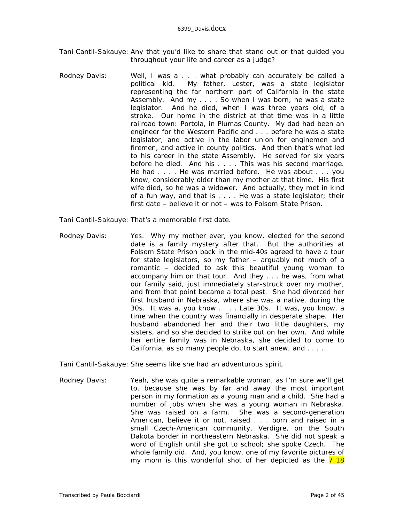- Tani Cantil-Sakauye: Any that you'd like to share that stand out or that guided you throughout your life and career as a judge?
- Rodney Davis: Well, I was a . . . what probably can accurately be called a political kid. My father, Lester, was a state legislator representing the far northern part of California in the state Assembly. And my . . . . So when I was born, he was a state legislator. And he died, when I was three years old, of a stroke. Our home in the district at that time was in a little railroad town: Portola, in Plumas County. My dad had been an engineer for the Western Pacific and . . . before he was a state legislator, and active in the labor union for enginemen and firemen, and active in county politics. And then that's what led to his career in the state Assembly. He served for six years before he died. And his . . . . This was his second marriage. He had . . . . He was married before. He was about . . . you know, considerably older than my mother at that time. His first wife died, so he was a widower. And actually, they met in kind of a fun way, and that is . . . . He was a state legislator; their first date – believe it or not – was to Folsom State Prison.
- Tani Cantil-Sakauye: That's a memorable first date.
- Rodney Davis: Yes. Why my mother ever, you know, elected for the second date is a family mystery after that. But the authorities at Folsom State Prison back in the mid-40s agreed to have a tour for state legislators, so my father – arguably not much of a romantic – decided to ask this beautiful young woman to accompany him on that tour. And they . . . he was, from what our family said, just immediately star-struck over my mother, and from that point became a total pest. She had divorced her first husband in Nebraska, where she was a native, during the 30s. It was a, you know . . . . Late 30s. It was, you know, a time when the country was financially in desperate shape. Her husband abandoned her and their two little daughters, my sisters, and so she decided to strike out on her own. And while her entire family was in Nebraska, she decided to come to California, as so many people do, to start anew, and . . . .

Tani Cantil-Sakauye: She seems like she had an adventurous spirit.

Rodney Davis: Yeah, she was quite a remarkable woman, as I'm sure we'll get to, because she was by far and away the most important person in my formation as a young man and a child. She had a number of jobs when she was a young woman in Nebraska. She was raised on a farm. She was a second-generation American, believe it or not, raised . . . born and raised in a small Czech-American community, Verdigre, on the South Dakota border in northeastern Nebraska. She did not speak a word of English until she got to school; she spoke Czech. The whole family did. And, you know, one of my favorite pictures of my mom is this wonderful shot of her depicted as the  $7:18$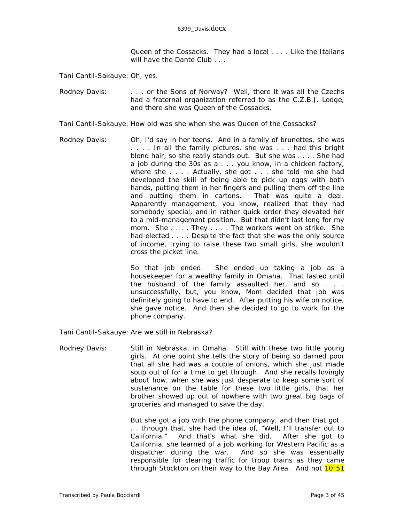Queen of the Cossacks. They had a local . . . . Like the Italians will have the Dante Club . . .

Tani Cantil-Sakauye: Oh, yes.

Rodney Davis: . . . . . or the Sons of Norway? Well, there it was all the Czechs had a fraternal organization referred to as the C.Z.B.J. Lodge, and there she was Queen of the Cossacks.

Tani Cantil-Sakauye: How old was she when she was Queen of the Cossacks?

Rodney Davis: Oh, I'd say in her teens. And in a family of brunettes, she was . . . . In all the family pictures, she was . . . had this bright blond hair, so she really stands out. But she was . . . . She had a job during the 30s as a . . . you know, in a chicken factory, where she . . . . Actually, she got . . . she told me she had developed the skill of being able to pick up eggs with both hands, putting them in her fingers and pulling them off the line and putting them in cartons. That was quite a deal. Apparently management, you know, realized that they had somebody special, and in rather quick order they elevated her to a mid-management position. But that didn't last long for my mom. She . . . . They . . . . The workers went on strike. She had elected . . . . Despite the fact that she was the only source of income, trying to raise these two small girls, she wouldn't cross the picket line.

> So that job ended. She ended up taking a job as a housekeeper for a wealthy family in Omaha. That lasted until the husband of the family assaulted her, and so . . . unsuccessfully, but, you know, Mom decided that job was definitely going to have to end. After putting his wife on notice, she gave notice. And then she decided to go to work for the phone company.

Tani Cantil-Sakauye: Are we still in Nebraska?

Rodney Davis: Still in Nebraska, in Omaha. Still with these two little young girls. At one point she tells the story of being so darned poor that all she had was a couple of onions, which she just made soup out of for a time to get through. And she recalls lovingly about how, when she was just desperate to keep some sort of sustenance on the table for these two little girls, that her brother showed up out of nowhere with two great big bags of groceries and managed to save the day.

> But she got a job with the phone company, and then that got . . . through that, she had the idea of, "Well, I'll transfer out to California." And that's what she did. After she got to California, she learned of a job working for Western Pacific as a dispatcher during the war. And so she was essentially responsible for clearing traffic for troop trains as they came through Stockton on their way to the Bay Area. And not 10:51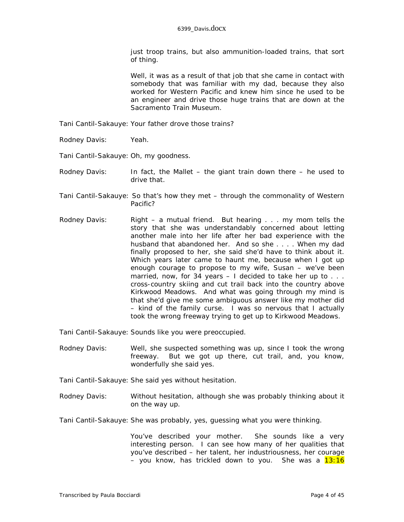just troop trains, but also ammunition-loaded trains, that sort of thing.

Well, it was as a result of that job that she came in contact with somebody that was familiar with my dad, because they also worked for Western Pacific and knew him since he used to be an engineer and drive those *huge* trains that are down at the Sacramento Train Museum.

- Tani Cantil-Sakauye: Your father drove those trains?
- Rodney Davis: Yeah.
- Tani Cantil-Sakauye: Oh, my goodness.
- Rodney Davis: In fact, the Mallet the *giant* train down there he used to drive that.
- Tani Cantil-Sakauye: So that's how they met through the commonality of Western Pacific?
- Rodney Davis: Right a mutual friend. But hearing . . . my mom tells the story that she was understandably concerned about letting another male into her life after her bad experience with the husband that abandoned her. And so she . . . . When my dad finally proposed to her, she said she'd have to think about it. Which years later came to haunt me, because when I got up enough courage to propose to my wife, Susan – we've been married, now, for 34 years  $-1$  decided to take her up to  $\ldots$ . cross-country skiing and cut trail back into the country above Kirkwood Meadows. And what was going through my mind is that she'd give me some ambiguous answer like my mother did – kind of the family curse. I was so nervous that I actually took the wrong freeway trying to get up to Kirkwood Meadows.

Tani Cantil-Sakauye: Sounds like you were preoccupied.

- Rodney Davis: Well, she suspected something was up, since I took the wrong freeway. But we got up there, cut trail, and, you know, wonderfully she said yes.
- Tani Cantil-Sakauye: She said yes without hesitation.
- Rodney Davis: Without hesitation, although she was probably thinking about it on the way up.
- Tani Cantil-Sakauye: She was probably, yes, guessing what *you* were thinking.

You've described your mother. She sounds like a very interesting person. I can see how many of her qualities that you've described – her talent, her industriousness, her courage – you know, has trickled down to you. She was a  $13:16$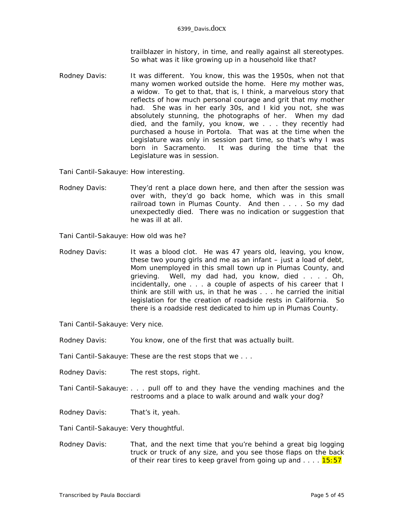trailblazer in history, in time, and really against all stereotypes. So what was it like growing up in a household like that?

Rodney Davis: It was different. You know, this was the 1950s, when not that many women worked outside the home. Here my mother was, a widow. To get to that, that is, I think, a marvelous story that reflects of how much personal courage and grit that my mother had. She was in her early 30s, and I kid you not, she was absolutely stunning, the photographs of her. When my dad died, and the family, you know, we . . . they recently had purchased a house in Portola. That was at the time when the Legislature was only in session part time, so that's why I was born in Sacramento. It was during the time that the Legislature was in session.

Tani Cantil-Sakauye: How interesting.

Rodney Davis: They'd rent a place down here, and then after the session was over with, they'd go back home, which was in this small railroad town in Plumas County. And then . . . . So my dad unexpectedly died. There was no indication or suggestion that he was ill at all.

Tani Cantil-Sakauye: How old was he?

Rodney Davis: It was a blood clot. He was 47 years old, leaving, you know, these two young girls and me as an infant – just a load of debt, Mom unemployed in this small town up in Plumas County, and grieving. Well, my dad had, you know, died . . . . Oh, incidentally, one . . . a couple of aspects of his career that I think are still with us, in that he was . . . he carried the initial legislation for the creation of roadside rests in California. So there is a roadside rest dedicated to him up in Plumas County.

Tani Cantil-Sakauye: Very nice.

Rodney Davis: You know, one of the first that was actually built.

Tani Cantil-Sakauye: These are the rest stops that we . . .

Rodney Davis: The rest stops, right.

- Tani Cantil-Sakauye: . . . pull off to and they have the vending machines and the restrooms and a place to walk around and walk your dog?
- Rodney Davis: That's it, yeah.

Tani Cantil-Sakauye: Very thoughtful.

Rodney Davis: That, and the next time that you're behind a great big logging truck or truck of any size, and you see those flaps on the back of their rear tires to keep gravel from going up and  $\dots$  .  $15:57$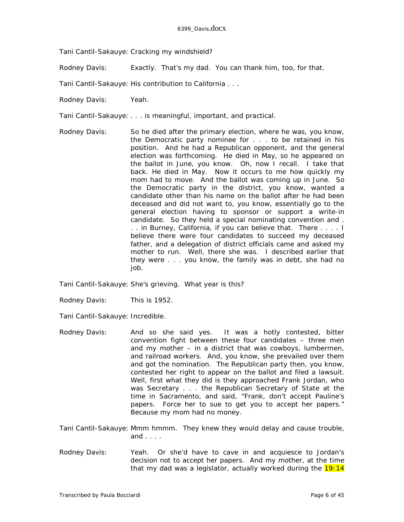Tani Cantil-Sakauye: Cracking my windshield?

Rodney Davis: Exactly. That's my dad. You can thank him, too, for that.

Tani Cantil-Sakauye: His contribution to California . . .

Rodney Davis: Yeah.

Tani Cantil-Sakauye: . . . is meaningful, important, and practical.

Rodney Davis: So he died after the primary election, where he was, you know, the Democratic party nominee for . . . to be retained in his position. And he had a Republican opponent, and the general election was forthcoming. He died in May, so he appeared on the ballot in June, you know. Oh, now I recall. I take that back. He died in May. Now it occurs to me how quickly my mom had to move. And the ballot was coming up in June. So the Democratic party in the district, you know, wanted a candidate other than his name on the ballot after he had been deceased and did not want to, you know, essentially go to the general election having to sponsor or support a write-in candidate. So they held a special nominating convention and . . . in Burney, California, if you can believe that. There . . . . I believe there were four candidates to succeed my deceased father, and a delegation of district officials came and asked my mother to run. Well, there she was. I described earlier that they were . . . you know, the family was in debt, she had no job.

Tani Cantil-Sakauye: She's grieving. What year is this?

Rodney Davis: This is 1952.

Tani Cantil-Sakauye: Incredible.

Rodney Davis: And so she said yes. It was a hotly contested, bitter convention fight between these four candidates – three men and my mother – in a district that was cowboys, lumbermen, and railroad workers. And, you know, she prevailed over them and got the nomination. The Republican party then, you know, contested her right to appear on the ballot and filed a lawsuit. Well, first what they did is they approached Frank Jordan, who was Secretary . . . the Republican Secretary of State at the time in Sacramento, and said, "Frank, don't accept Pauline's papers. Force her to sue to get you to accept her papers." Because my mom had no money.

Tani Cantil-Sakauye: Mmm hmmm. They knew they would delay and cause trouble, and  $\ldots$ .

Rodney Davis: Yeah. Or she'd have to cave in and acquiesce to Jordan's decision not to accept her papers. And my mother, at the time that my dad was a legislator, actually worked during the  $19:14$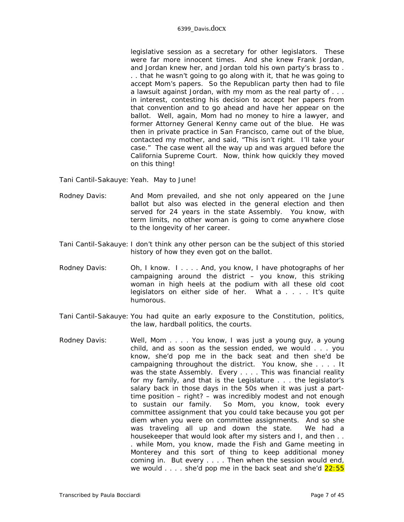## 6399\_Davis.docx

legislative session as a secretary for other legislators. These were far more innocent times. And she knew Frank Jordan, and Jordan knew her, and Jordan told his own party's brass to . . . that he wasn't going to go along with it, that he was going to accept Mom's papers. So the Republican party then had to file a lawsuit against Jordan, with my mom as the real party of . . . in interest, contesting his decision to accept her papers from that convention and to go ahead and have her appear on the ballot. Well, again, Mom had no money to hire a lawyer, and former Attorney General Kenny came out of the blue. He was then in private practice in San Francisco, came out of the blue, contacted my mother, and said, "This isn't right. I'll take your case." The case went all the way up and was argued before the California Supreme Court. Now, think how quickly they moved on this thing!

Tani Cantil-Sakauye: Yeah. May to June!

- Rodney Davis: And Mom prevailed, and she not only appeared on the June ballot but also was elected in the general election and then served for 24 years in the state Assembly. You know, with term limits, no other woman is going to come anywhere close to the longevity of her career.
- Tani Cantil-Sakauye: I don't think any other person can be the subject of this storied history of how they even got on the ballot.
- Rodney Davis: Oh, I know. I . . . . And, you know, I have photographs of her campaigning around the district – you know, this striking woman in high heels at the podium with all these old coot legislators on either side of her. What a . . . . It's quite humorous.
- Tani Cantil-Sakauye: You had quite an early exposure to the Constitution, politics, the law, hardball politics, the courts.
- Rodney Davis: Well, Mom . . . . You know, I was just a young guy, a young child, and as soon as the session ended, we would . . . you know, she'd pop me in the back seat and then she'd be campaigning throughout the district. You know, she . . . . It was the state Assembly. Every . . . . This was financial reality for my family, and that is the Legislature . . . the legislator's salary back in those days in the 50s when it was just a parttime position – right? – was incredibly modest and not enough to sustain our family. So Mom, you know, took every committee assignment that you could take because you got per diem when you were on committee assignments. And so she was traveling all up and down the state. We had a housekeeper that would look after my sisters and I, and then . . . while Mom, you know, made the Fish and Game meeting in Monterey and this sort of thing to keep additional money coming in. But every . . . . Then when the session would end, we would  $\ldots$  she'd pop me in the back seat and she'd  $22:55$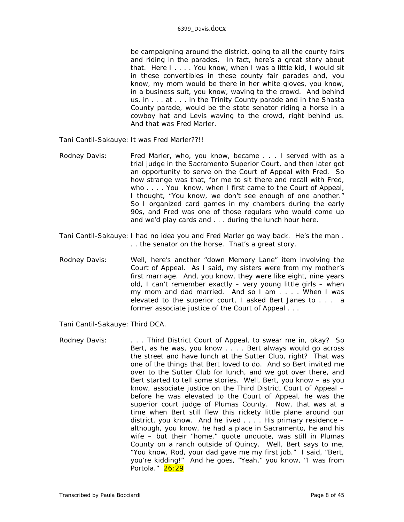be campaigning around the district, going to all the county fairs and riding in the parades. In fact, here's a great story about that. Here I . . . . You know, when I was a little kid, I would sit in these convertibles in these county fair parades and, you know, my mom would be there in her white gloves, you know, in a business suit, you know, waving to the crowd. And behind us, in . . . at . . . in the Trinity County parade and in the Shasta County parade, would be the state senator riding a horse in a cowboy hat and Levis waving to the crowd, right behind us. And that was Fred Marler.

Tani Cantil-Sakauye: It was *Fred Marler*??!!

- Rodney Davis: Fred Marler, who, you know, became . . . I served with as a trial judge in the Sacramento Superior Court, and then later got an opportunity to serve on the Court of Appeal with Fred. So how strange was that, for me to sit there and recall with Fred, who . . . . You know, when I first came to the Court of Appeal, I thought, "You know, we don't see enough of one another." So I organized card games in my chambers during the early 90s, and Fred was one of those regulars who would come up and we'd play cards and . . . during the lunch hour here.
- Tani Cantil-Sakauye: I had no idea you and Fred Marler go way back. He's the man . . . the senator on the horse. That's a great story.
- Rodney Davis: Well, here's another "down Memory Lane" item involving the Court of Appeal. As I said, my sisters were from my mother's first marriage. And, you know, they were like eight, nine years old, I can't remember exactly – very young little girls – when my mom and dad married. And so I am . . . . When I was elevated to the superior court, I asked Bert Janes to . . . a former associate justice of the Court of Appeal . . .

Tani Cantil-Sakauye: Third DCA.

Rodney Davis: . . . . . Third District Court of Appeal, to swear me in, okay? So Bert, as he was, you know . . . . Bert always would go across the street and have lunch at the Sutter Club, right? That was one of the things that Bert loved to do. And so Bert invited me over to the Sutter Club for lunch, and we got over there, and Bert started to tell some stories. Well, Bert, you know – as you know, associate justice on the Third District Court of Appeal – before he was elevated to the Court of Appeal, he was the superior court judge of Plumas County. Now, that was at a time when Bert still flew this rickety little plane around our district, you know. And he lived . . . . His primary residence – although, you know, he had a place in Sacramento, he and his wife – but their "home," quote unquote, was still in Plumas County on a ranch outside of Quincy. Well, Bert says to me, "You know, Rod, your dad gave me my first job." I said, "Bert, you're kidding!" And he goes, "Yeah," you know, "I was from Portola." 26:29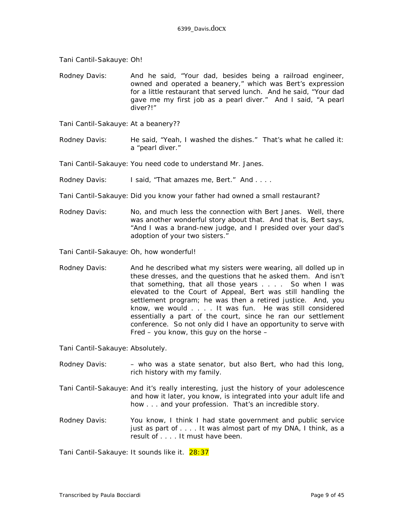Tani Cantil-Sakauye: Oh!

Rodney Davis: And he said, "Your dad, besides being a railroad engineer, owned and operated a beanery," which was Bert's expression for a little restaurant that served lunch. And he said, "Your dad gave me my first job as a pearl diver." And I said, "A pearl diver?!"

Tani Cantil-Sakauye: At a beanery??

Rodney Davis: He said, "Yeah, I washed the dishes." That's what he called it: a "pearl diver."

Tani Cantil-Sakauye: You need code to understand Mr. Janes.

Rodney Davis: I said, "That amazes me, Bert." And ....

Tani Cantil-Sakauye: Did you know your father had owned a small restaurant?

Rodney Davis: No, and much less the connection with Bert Janes. Well, there was another wonderful story about that. And that is, Bert says, "And I was a brand-new judge, and I presided over your dad's adoption of your two sisters."

Tani Cantil-Sakauye: Oh, how wonderful!

Rodney Davis: And he described what my sisters were wearing, all dolled up in these dresses, and the questions that he asked them. And isn't that something, that all those years . . . . So when I was elevated to the Court of Appeal, Bert was still handling the settlement program; he was then a retired justice. And, you know, we would . . . . It was fun. He was still considered essentially a part of the court, since he ran our settlement conference. So not only did I have an opportunity to serve with Fred – you know, this guy on the horse –

Tani Cantil-Sakauye: Absolutely.

- Rodney Davis: - who was a state senator, but also Bert, who had this long, rich history with my family.
- Tani Cantil-Sakauye: And it's really interesting, just the history of your adolescence and how it later, you know, is integrated into your adult life and how . . . and your profession. That's an incredible story.
- Rodney Davis: You know, I think I had state government and public service just as part of . . . . It was almost part of my DNA, I think, as a result of . . . . It must have been.

Tani Cantil-Sakauye: It sounds like it. 28:37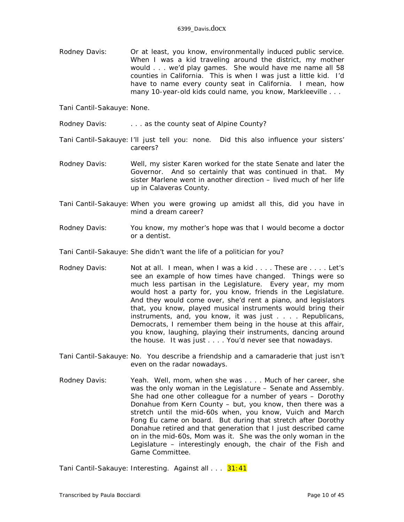Rodney Davis: Or at least, you know, environmentally induced public service. When I was a kid traveling around the district, my mother would . . . we'd play games. She would have me name all 58 counties in California. This is when I was just a little kid. I'd have to name every county seat in California. I mean, how many 10-year-old kids could name, you know, Markleeville . . .

Tani Cantil-Sakauye: None.

- Rodney Davis: . . . . . as the county seat of Alpine County?
- Tani Cantil-Sakauye: I'll just tell you: none. Did this also influence your sisters' careers?
- Rodney Davis: Well, my sister Karen worked for the state Senate and later the Governor. And so certainly that was continued in that. My sister Marlene went in another direction – lived much of her life up in Calaveras County.
- Tani Cantil-Sakauye: When you were growing up amidst all this, did you have in mind a dream career?
- Rodney Davis: You know, my mother's hope was that I would become a doctor or a dentist.
- Tani Cantil-Sakauye: She didn't want the life of a politician for you?
- Rodney Davis: Not at all. I mean, when I was a kid . . . . These are . . . . Let's see an example of how times have changed. Things were so much less partisan in the Legislature. Every year, my mom would host a party for, you know, friends in the Legislature. And they would come over, she'd rent a piano, and legislators that, you know, played musical instruments would bring their instruments, and, you know, it was just . . . . Republicans, Democrats, I remember them being in the house at this affair, you know, laughing, playing their instruments, dancing around the house. It was just . . . . You'd never see that nowadays.
- Tani Cantil-Sakauye: No. You describe a friendship and a camaraderie that just isn't even on the radar nowadays.
- Rodney Davis: Yeah. Well, mom, when she was . . . . Much of her career, she was the only woman in the Legislature – Senate and Assembly. She had one other colleague for a number of years – Dorothy Donahue from Kern County – but, you know, then there was a stretch until the mid-60s when, you know, Vuich and March Fong Eu came on board. But during that stretch after Dorothy Donahue retired and that generation that I just described came on in the mid-60s, Mom was it. She was the only woman in the Legislature – interestingly enough, the chair of the Fish and Game Committee.

Tani Cantil-Sakauye: Interesting. Against all... 31:41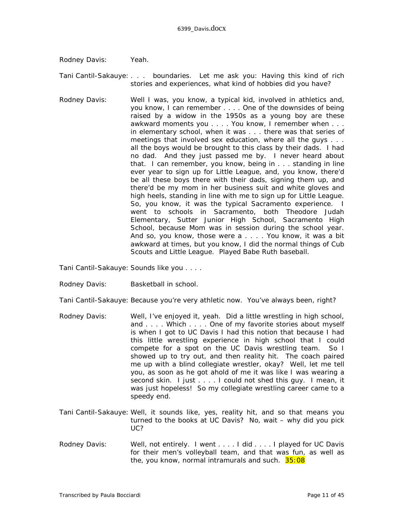Rodney Davis: Yeah.

Tani Cantil-Sakauye: . . . boundaries. Let me ask you: Having this kind of rich stories and experiences, what kind of hobbies did you have?

Rodney Davis: Well I was, you know, a typical kid, involved in athletics and, you know, I can remember . . . . One of the downsides of being raised by a widow in the 1950s as a young boy are these awkward moments you . . . . You know, I remember when . . . in elementary school, when it was . . . there was that series of meetings that involved sex education, where all the guys . . . all the boys would be brought to this class by their dads. I had no dad. And they just passed me by. I never heard about that. I can remember, you know, being in . . . standing in line ever year to sign up for Little League, and, you know, there'd be all these boys there with their dads, signing them up, and there'd be my mom in her business suit and white gloves and high heels, standing in line with me to sign up for Little League. So, you know, it was the typical Sacramento experience. I went to schools in Sacramento, both Theodore Judah Elementary, Sutter Junior High School, Sacramento High School, because Mom was in session during the school year. And so, you know, those were a . . . . You know, it was a bit awkward at times, but you know, I did the normal things of Cub Scouts and Little League. Played Babe Ruth baseball.

Tani Cantil-Sakauye: Sounds like you . . . .

Rodney Davis: Basketball in school.

Tani Cantil-Sakauye: Because you're very athletic now. You've always been, right?

- Rodney Davis: Well, I've enjoyed it, yeah. Did a little wrestling in high school, and . . . . Which . . . . One of my favorite stories about myself is when I got to UC Davis I had this notion that because I had this little wrestling experience in high school that I could compete for a spot on the UC Davis wrestling team. So I showed up to try out, and then reality hit. The coach paired me up with a *blind* collegiate wrestler, okay? Well, let me tell you, as soon as he got ahold of me it was like I was wearing a second skin. I just . . . . I could not shed this guy. I mean, it was just hopeless! So my collegiate wrestling career came to a speedy end.
- Tani Cantil-Sakauye: Well, it sounds like, yes, reality hit, and so that means you turned to the books at UC Davis? No, wait – why did you pick UC?
- Rodney Davis: Well, not entirely. I went . . . . I did . . . . I played for UC Davis for their men's volleyball team, and that was fun, as well as the, you know, normal intramurals and such. 35:08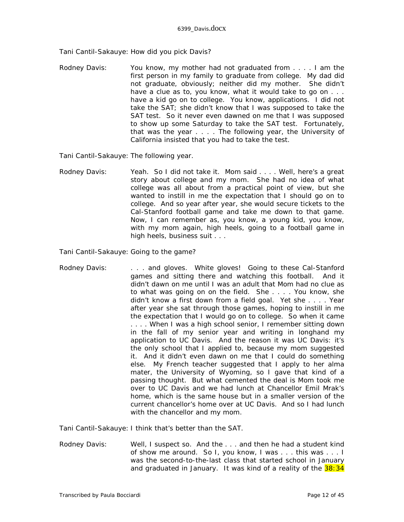Tani Cantil-Sakauye: How did you pick Davis?

Rodney Davis: You know, my mother had not graduated from . . . . I am the first person in my family to graduate from college. My dad did not graduate, obviously; neither did my mother. She didn't have a clue as to, you know, what it would take to go on . . . have a kid go on to college. You know, applications. I did not take the SAT; she didn't know that I was supposed to take the SAT test. So it never even dawned on me that I was supposed to show up some Saturday to take the SAT test. Fortunately, that was the year . . . . The following year, the University of California insisted that you had to take the test.

Tani Cantil-Sakauye: The following year.

Rodney Davis: Yeah. So I did not take it. Mom said . . . . Well, here's a great story about college and my mom. She had no idea of what college was all about from a practical point of view, but she wanted to instill in me the expectation that I should go on to college. And so year after year, she would secure tickets to the Cal-Stanford football game and take me down to that game. Now, I can remember as, you know, a young kid, you know, with my mom again, high heels, going to a football game in high heels, business suit . . .

Tani Cantil-Sakauye: Going to the game?

Rodney Davis: . . . . . and gloves. White gloves! Going to these Cal-Stanford games and sitting there and watching this football. And it didn't dawn on me until I was an adult that Mom had no clue as to what was going on on the field. She . . . . You know, she didn't know a first down from a field goal. Yet she . . . . Year after year she sat through those games, hoping to instill in me the expectation that I would go on to college. So when it came . . . . When I was a high school senior, I remember sitting down in the fall of my senior year and writing in longhand my application to UC Davis. And the reason it was UC Davis: it's the only school that I applied to, because my mom suggested it. And it didn't even dawn on me that I could do something else. My French teacher suggested that I apply to her alma mater, the University of Wyoming, so I gave that kind of a passing thought. But what cemented the deal is Mom took me over to UC Davis and we had lunch at Chancellor Emil Mrak's home, which is the same house but in a smaller version of the current chancellor's home over at UC Davis. And so I had lunch with the chancellor and my mom.

Tani Cantil-Sakauye: I think that's better than the SAT.

Rodney Davis: Well, I suspect so. And the . . . and then he had a student kind of show me around. So I, you know, I was . . . this was . . . I was the second-to-the-last class that started school in January and graduated in January. It was kind of a reality of the  $38:34$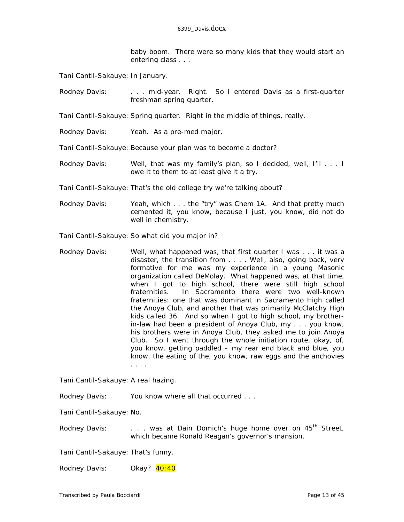baby boom. There were so many kids that they would start an entering class . . .

Tani Cantil-Sakauye: In January.

Rodney Davis: . . . . . . mid-year. Right. So I entered Davis as a first-quarter freshman spring quarter.

Tani Cantil-Sakauye: Spring quarter. Right in the middle of things, really.

Rodney Davis: Yeah. As a pre-med major.

Tani Cantil-Sakauye: Because your plan was to become a doctor?

- Rodney Davis: Well, that was my family's plan, so I decided, well, I'll . . . I owe it to them to at least give it a try.
- Tani Cantil-Sakauye: That's the old college try we're talking about?
- Rodney Davis: Yeah, which . . . the "try" was Chem 1A. And that pretty much cemented it, you know, because I just, you know, did not do well in chemistry.

Tani Cantil-Sakauye: So what *did* you major in?

Rodney Davis: Well, what happened was, that first quarter I was . . . it was a disaster, the transition from . . . . Well, also, going back, very formative for me was my experience in a young Masonic organization called DeMolay. What happened was, at that time, when I got to high school, there were still high school fraternities. In Sacramento there were two well-known fraternities: one that was dominant in Sacramento High called the Anoya Club, and another that was primarily McClatchy High kids called 36. And so when I got to high school, my brotherin-law had been a president of Anoya Club, my . . . you know, his brothers were in Anoya Club, they asked me to join Anoya Club. So I went through the whole initiation route, okay, of, you know, getting paddled – my rear end black and blue, you know, the eating of the, you know, raw eggs and the anchovies . . . .

Tani Cantil-Sakauye: A real hazing.

Rodney Davis: You know where all that occurred . . .

Tani Cantil-Sakauye: No.

Rodney Davis: . . . was at Dain Domich's huge home over on 45<sup>th</sup> Street, which became Ronald Reagan's governor's mansion.

Tani Cantil-Sakauye: That's funny.

Rodney Davis: Okay? 40:40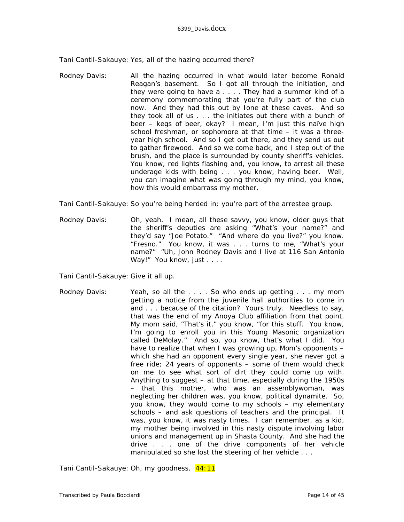Tani Cantil-Sakauye: Yes, all of the hazing occurred there?

Rodney Davis: All the hazing occurred in what would later become Ronald Reagan's basement. So I got all through the initiation, and they were going to have a . . . . They had a summer kind of a ceremony commemorating that you're fully part of the club now. And they had this out by Ione at these caves. And so they took all of us . . . the initiates out there with a bunch of beer – kegs of beer, okay? I mean, I'm just this naïve high school freshman, or sophomore at that time – it was a threeyear high school. And so I get out there, and they send us out to gather firewood. And so we come back, and I step out of the brush, and the place is surrounded by county sheriff's vehicles. You know, red lights flashing and, you know, to arrest all these underage kids with being . . . you know, having beer. Well, you can imagine what was going through my mind, you know, how this would embarrass my mother.

Tani Cantil-Sakauye: So you're being herded in; you're part of the arrestee group.

Rodney Davis: Oh, yeah. I mean, all these savvy, you know, older guys that the sheriff's deputies are asking "What's your name?" and they'd say "Joe Potato." "And where do you live?" you know. "Fresno." You know, it was . . . turns to me, "What's your name?" "Uh, John Rodney Davis and I live at 116 San Antonio Way!" You know, just . . . .

Tani Cantil-Sakauye: Give it all up.

Rodney Davis: Yeah, so all the . . . . So who ends up getting . . . my mom getting a notice from the juvenile hall authorities to come in and . . . because of the citation? Yours truly. Needless to say, that was the end of my Anoya Club affiliation from that point. My mom said, "That's it," you know, "for this stuff. You know, I'm going to enroll you in this Young Masonic organization called DeMolay." And so, you know, that's what I did. You have to realize that when I was growing up, Mom's opponents – which she had an opponent every single year, she never got a free ride; 24 years of opponents – some of them would check on me to see what sort of dirt they could come up with. Anything to suggest – at that time, especially during the 1950s – that this mother, who was an assemblywoman, was neglecting her children was, you know, political dynamite. So, you know, they would come to my schools – my elementary schools – and ask questions of teachers and the principal. It was, you know, it was nasty times. I can remember, as a kid, my mother being involved in this nasty dispute involving labor unions and management up in Shasta County. And she had the drive . . . one of the drive components of her vehicle manipulated so she lost the steering of her vehicle . . .

Tani Cantil-Sakauye: Oh, my goodness. 44:11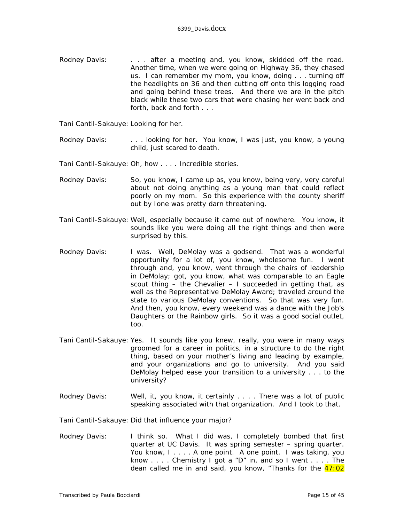Rodney Davis: . . . . after a meeting and, you know, skidded off the road. Another time, when we were going on Highway 36, they chased us. I can remember my mom, you know, doing . . . turning off the headlights on 36 and then cutting off onto this logging road and going behind these trees. And there we are in the pitch black while these two cars that were chasing her went back and forth, back and forth . . .

Tani Cantil-Sakauye: Looking for her.

Rodney Davis: . . . . looking for her. You know, I was just, you know, a young child, just scared to death.

Tani Cantil-Sakauye: Oh, how . . . . Incredible stories.

- Rodney Davis: So, you know, I came up as, you know, being very, very careful about not doing anything as a young man that could reflect poorly on my mom. So this experience with the county sheriff out by Ione was pretty darn threatening.
- Tani Cantil-Sakauye: Well, especially because it came out of nowhere. You know, it sounds like you were doing all the right things and then were surprised by this.
- Rodney Davis: I was. Well, DeMolay was a godsend. That was a wonderful opportunity for a lot of, you know, wholesome fun. I went through and, you know, went through the chairs of leadership in DeMolay; got, you know, what was comparable to an Eagle scout thing – the Chevalier – I succeeded in getting that, as well as the Representative DeMolay Award; traveled around the state to various DeMolay conventions. So that was very fun. And then, you know, every weekend was a dance with the Job's Daughters or the Rainbow girls. So it was a good social outlet, too.
- Tani Cantil-Sakauye: Yes. It sounds like you knew, really, you were in many ways groomed for a career in politics, in a structure to do the right thing, based on your mother's living and leading by example, and your organizations and go to university. And you said DeMolay helped ease your transition to a university . . . to the university?
- Rodney Davis: Well, it, you know, it certainly . . . . There was a lot of public speaking associated with that organization. And I took to that.

Tani Cantil-Sakauye: Did that influence your major?

Rodney Davis: I think so. What I did was, I completely bombed that first quarter at UC Davis. It was spring semester – spring quarter. You know, I.... A one point. A one point. I was taking, you know . . . . Chemistry I got a "D" in, and so I went . . . . The dean called me in and said, you know, "Thanks for the  $47:02$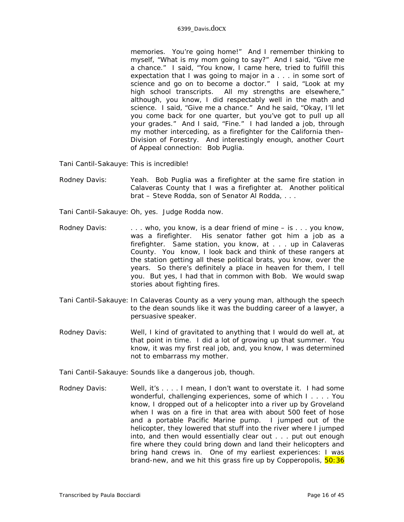memories. You're going home!" And I remember thinking to myself, "What is my mom going to say?" And I said, "Give me a chance." I said, "You know, I came here, tried to fulfill this expectation that I was going to major in a . . . in some sort of science and go on to become a doctor." I said, "Look at my high school transcripts. All my strengths are elsewhere," although, you know, I did respectably well in the math and science. I said, "Give me a chance." And he said, "Okay, I'll let you come back for one quarter, but you've got to pull up all your grades." And I said, "Fine." I had landed a job, through my mother interceding, as a firefighter for the California then– Division of Forestry. And interestingly enough, another Court of Appeal connection: Bob Puglia.

Tani Cantil-Sakauye: This is incredible!

- Rodney Davis: Yeah. Bob Puglia was a firefighter at the same fire station in Calaveras County that I was a firefighter at. Another political brat – Steve Rodda, son of Senator Al Rodda, . . .
- Tani Cantil-Sakauye: Oh, yes. Judge Rodda now.
- Rodney Davis: . . . . . who, you know, is a dear friend of mine is . . . you know, was a firefighter. His senator father got him a job as a firefighter. Same station, you know, at . . . up in Calaveras County. You know, I look back and think of these rangers at the station getting all these political brats, you know, over the years. So there's definitely a place in heaven for them, I tell you. But yes, I had that in common with Bob. We would swap stories about fighting fires.
- Tani Cantil-Sakauye: In Calaveras County as a very young man, although the speech to the dean sounds like it was the budding career of a lawyer, a persuasive speaker.
- Rodney Davis: Well, I kind of gravitated to anything that I would do well at, at that point in time. I did a lot of growing up that summer. You know, it was my first real job, and, you know, I was determined not to embarrass my mother.
- Tani Cantil-Sakauye: Sounds like a dangerous job, though.
- Rodney Davis: Well, it's . . . . I mean, I don't want to overstate it. I had some wonderful, challenging experiences, some of which I . . . . You know, I dropped out of a helicopter into a river up by Groveland when I was on a fire in that area with about 500 feet of hose and a portable Pacific Marine pump. I jumped out of the helicopter, they lowered that stuff into the river where I jumped into, and then would essentially clear out . . . put out enough fire where they could bring down and land their helicopters and bring hand crews in. One of my earliest experiences: I was brand-new, and we hit this grass fire up by Copperopolis, 50:36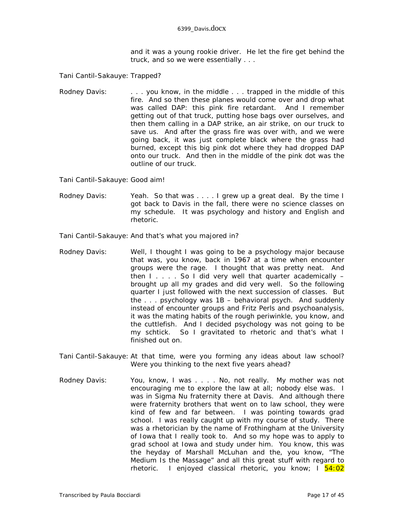and it was a young rookie driver. He let the fire get behind the truck, and so we were essentially . . .

Tani Cantil-Sakauye: Trapped?

Rodney Davis: . . . . . you know, in the middle . . . trapped in the middle of this fire. And so then these planes would come over and drop what was called DAP: this pink fire retardant. And I remember getting out of that truck, putting hose bags over ourselves, and then them calling in a DAP strike, an air strike, on our truck to save us. And after the grass fire was over with, and we were going back, it was just complete black where the grass had burned, except this big pink dot where they had dropped DAP onto our truck. And then in the middle of the pink dot was the outline of our truck.

Tani Cantil-Sakauye: Good aim!

Rodney Davis: Yeah. So that was . . . I grew up a great deal. By the time I got back to Davis in the fall, there were no science classes on my schedule. It was psychology and history and English and rhetoric.

Tani Cantil-Sakauye: And that's what you majored in?

- Rodney Davis: Well, I thought I was going to be a psychology major because that was, you know, back in 1967 at a time when encounter groups were the rage. I thought that was pretty neat. And then  $I \ldots$  . So I did very well that quarter academically  $$ brought up all my grades and did very well. So the following quarter I just followed with the next succession of classes. But the . . . psychology was 1B – behavioral psych. And suddenly instead of encounter groups and Fritz Perls and psychoanalysis, it was the mating habits of the rough periwinkle, you know, and the cuttlefish. And I decided psychology was not going to be my schtick. So I gravitated to rhetoric and that's what I finished out on.
- Tani Cantil-Sakauye: At that time, were you forming any ideas about law school? Were you thinking to the next five years ahead?
- Rodney Davis: You, know, I was . . . . No, not really. My mother was not encouraging me to explore the law at all; nobody else was. I was in Sigma Nu fraternity there at Davis. And although there were fraternity brothers that went on to law school, they were kind of few and far between. I was pointing towards grad school. I was really caught up with my course of study. There was a rhetorician by the name of Frothingham at the University of Iowa that I really took to. And so my hope was to apply to grad school at Iowa and study under him. You know, this was the heyday of Marshall McLuhan and the, you know, "The Medium Is the Massage" and all this great stuff with regard to rhetoric. I enjoyed classical rhetoric, you know; I 54:02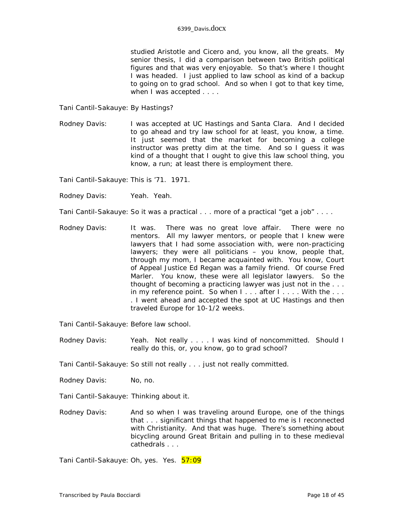studied Aristotle and Cicero and, you know, all the greats. My senior thesis, I did a comparison between two British political figures and that was very enjoyable. So that's where I thought I was headed. I just applied to law school as kind of a backup to going on to grad school. And so when I got to that key time, when I was accepted . . . .

Tani Cantil-Sakauye: By Hastings?

Rodney Davis: I was accepted at UC Hastings and Santa Clara. And I decided to go ahead and try law school for at least, you know, a time. It just seemed that the market for becoming a college instructor was pretty dim at the time. And so I guess it was kind of a thought that I ought to give this law school thing, you know, a run; at least there is employment there.

Tani Cantil-Sakauye: This is '71. 1971.

Rodney Davis: Yeah. Yeah.

Tani Cantil-Sakauye: So it was a practical . . . more of a practical "get a job" . . . .

Rodney Davis: It was. There was no great love affair. There were no mentors. All my lawyer mentors, or people that I knew were lawyers that I had some association with, were non-practicing lawyers; they were all politicians  $-$  you know, people that, through my mom, I became acquainted with. You know, Court of Appeal Justice Ed Regan was a family friend. Of course Fred Marler. You know, these were all legislator lawyers. So the thought of becoming a practicing lawyer was just not in the . . . in my reference point. So when  $1 \ldots$  after  $1 \ldots$ . With the  $\ldots$ . . I went ahead and accepted the spot at UC Hastings and then traveled Europe for 10-1/2 weeks.

Tani Cantil-Sakauye: Before law school.

Rodney Davis: Yeah. Not really . . . . I was kind of noncommitted. Should I really do this, or, you know, go to grad school?

Tani Cantil-Sakauye: So still not really . . . just not really committed.

Rodney Davis: No, no.

Tani Cantil-Sakauye: Thinking about it.

Rodney Davis: And so when I was traveling around Europe, one of the things that . . . significant things that happened to me is I reconnected with Christianity. And that was huge. There's something about bicycling around Great Britain and pulling in to these medieval cathedrals . . .

Tani Cantil-Sakauye: Oh, yes. Yes. 57:09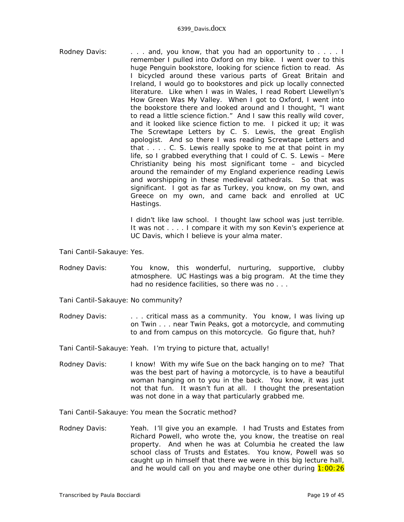Rodney Davis: . . . . . and, you know, that you had an opportunity to . . . . I remember I pulled into Oxford on my bike. I went over to this huge Penguin bookstore, looking for science fiction to read. As I bicycled around these various parts of Great Britain and Ireland, I would go to bookstores and pick up locally connected literature. Like when I was in Wales, I read Robert Llewellyn's *How Green Was My Valley*. When I got to Oxford, I went into the bookstore there and looked around and I thought, "I want to read a little science fiction." And I saw this really wild cover, and it looked like science fiction to me. I picked it up; it was *The Screwtape Letters* by C. S. Lewis, the great English apologist. And so there I was reading *Screwtape Letters* and that . . . . C. S. Lewis really spoke to me at that point in my life, so I grabbed everything that I could of C. S. Lewis – *Mere Christianity* being his most significant tome – and bicycled around the remainder of my England experience reading Lewis and worshipping in these medieval cathedrals. So that was significant. I got as far as Turkey, you know, on my own, and Greece on my own, and came back and enrolled at UC Hastings.

> I didn't like law school. I thought law school was just terrible. It was not . . . . I compare it with my son Kevin's experience at UC Davis, which I believe is your alma mater.

Tani Cantil-Sakauye: Yes.

- Rodney Davis: You know, this wonderful, nurturing, supportive, clubby atmosphere. UC Hastings was a big program. At the time they had no residence facilities, so there was no . . .
- Tani Cantil-Sakauye: No community?
- Rodney Davis: . . . . . critical mass as a community. You know, I was living up on Twin . . . near Twin Peaks, got a motorcycle, and commuting to and from campus on this motorcycle. Go figure that, huh?

Tani Cantil-Sakauye: Yeah. I'm trying to picture that, actually!

Rodney Davis: I know! With my wife Sue on the back hanging on to me? That was the best part of having a motorcycle, is to have a beautiful woman hanging on to you in the back. You know, it was just not that fun. It wasn't fun at all. I thought the presentation was not done in a way that particularly grabbed me.

Tani Cantil-Sakauye: You mean the Socratic method?

Rodney Davis: Yeah. I'll give you an example. I had Trusts and Estates from Richard Powell, who wrote the, you know, the treatise on real property. And when he was at Columbia he *created* the law school class of Trusts and Estates. You know, Powell was so caught up in himself that there we were in this big lecture hall, and he would call on you and maybe one other during  $1:00:26$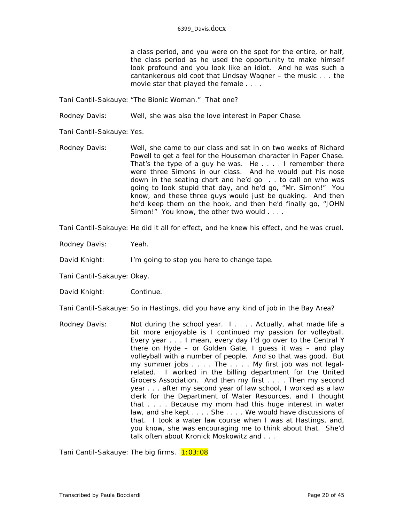a class period, and you were on the spot for the entire, or half, the class period as he used the opportunity to make himself look profound and you look like an idiot. And he was such a cantankerous old coot that Lindsay Wagner – the music . . . the movie star that played the female . . . .

Tani Cantil-Sakauye: "The Bionic Woman." That one?

Rodney Davis: Well, she was also the love interest in *Paper Chase*.

Tani Cantil-Sakauye: Yes.

Rodney Davis: Well, she came to our class and sat in on two weeks of Richard Powell to get a feel for the Houseman character in *Paper Chase*. That's the type of a guy he was. He . . . . I remember there were three Simons in our class. And he would put his nose down in the seating chart and he'd go . . to call on who was going to look stupid that day, and he'd go, "Mr. Simon!" You know, and these three guys would just be quaking. And then he'd keep them on the hook, and then he'd finally go, "JOHN Simon!" You know, the other two would . . . .

Tani Cantil-Sakauye: He did it all for effect, and he knew his effect, and he was cruel.

Rodney Davis: Yeah.

David Knight: I'm going to stop you here to change tape.

Tani Cantil-Sakauye: Okay.

David Knight: Continue.

Tani Cantil-Sakauye: So in Hastings, did you have any kind of job in the Bay Area?

Rodney Davis: Not during the school year. I . . . . Actually, what made life a bit more enjoyable is I continued my passion for volleyball. Every year . . . I mean, every day I'd go over to the Central Y there on Hyde – or Golden Gate, I guess it was – and play volleyball with a number of people. And so that was good. But my summer jobs . . . . The . . . . My first job was not legalrelated. I worked in the billing department for the United Grocers Association. And then my first . . . . Then my second year . . . after my second year of law school, I worked as a law clerk for the Department of Water Resources, and I thought that . . . . Because my mom had this huge interest in water law, and she kept . . . . She . . . . We would have discussions of that. I took a water law course when I was at Hastings, and, you know, she was encouraging me to think about that. She'd talk often about Kronick Moskowitz and . . .

Tani Cantil-Sakauye: The big firms. 1:03:08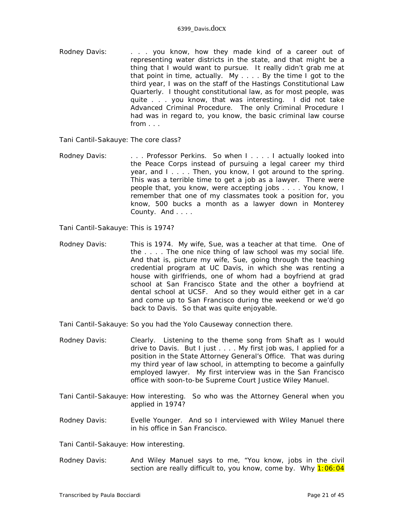Rodney Davis: . . . . . you know, how they made kind of a career out of representing water districts in the state, and that might be a thing that I would want to pursue. It really didn't grab me at that point in time, actually. My . . . . By the time I got to the third year, I was on the staff of the *Hastings Constitutional Law Quarterly.* I thought constitutional law, as for most people, was quite . . . you know, that was interesting. I did not take Advanced Criminal Procedure. The only Criminal Procedure I had was in regard to, you know, the basic criminal law course from . . .

Tani Cantil-Sakauye: The core class?

Rodney Davis: . . . . Professor Perkins. So when I . . . . I actually looked into the Peace Corps instead of pursuing a legal career my third year, and I.... Then, you know, I got around to the spring. This was a terrible time to get a job as a lawyer. There were people that, you know, were accepting jobs . . . . You know, I remember that one of my classmates took a position for, you know, 500 bucks a month as a lawyer down in Monterey County. And . . . .

Tani Cantil-Sakauye: This is 1974?

Rodney Davis: This is 1974. My wife, Sue, was a teacher at that time. One of the . . . . The one nice thing of law school was my social life. And that is, picture my wife, Sue, going through the teaching credential program at UC Davis, in which she was renting a house with girlfriends, one of whom had a boyfriend at grad school at San Francisco State and the other a boyfriend at dental school at UCSF. And so they would either get in a car and come up to San Francisco during the weekend or we'd go back to Davis. So that was quite enjoyable.

Tani Cantil-Sakauye: So you had the Yolo Causeway connection there.

- Rodney Davis: Clearly. Listening to the theme song from *Shaft* as I would drive to Davis. But I just . . . . My first job was, I applied for a position in the State Attorney General's Office. That was during my third year of law school, in attempting to become a gainfully employed lawyer. My first interview was in the San Francisco office with soon-to-be Supreme Court Justice Wiley Manuel.
- Tani Cantil-Sakauye: How interesting. So who was the Attorney General when you applied in 1974?
- Rodney Davis: Evelle Younger. And so I interviewed with Wiley Manuel there in his office in San Francisco.

Tani Cantil-Sakauye: How interesting.

Rodney Davis: And Wiley Manuel says to me, "You know, jobs in the civil section are really difficult to, you know, come by. Why 1:06:04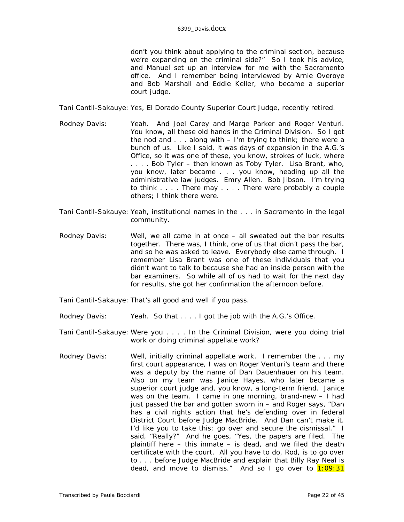don't you think about applying to the criminal section, because we're expanding on the criminal side?" So I took his advice, and Manuel set up an interview for me with the Sacramento office. And I remember being interviewed by Arnie Overoye and Bob Marshall and Eddie Keller, who became a superior court judge.

Tani Cantil-Sakauye: Yes, El Dorado County Superior Court Judge, recently retired.

- Rodney Davis: Yeah. And Joel Carey and Marge Parker and Roger Venturi. You know, all these old hands in the Criminal Division. So I got the nod and  $\ldots$  along with  $-$  I'm trying to think; there were a bunch of us. Like I said, it was days of expansion in the A.G.'s Office, so it was one of these, you know, strokes of luck, where . . . . Bob Tyler – then known as Toby Tyler. Lisa Brant, who, you know, later became . . . you know, heading up all the administrative law judges. Emry Allen. Bob Jibson. I'm trying to think . . . . There may . . . . There were probably a couple others; I think there were.
- Tani Cantil-Sakauye: Yeah, institutional names in the . . . in Sacramento in the legal community.
- Rodney Davis: Well, we all came in at once all sweated out the bar results together. There was, I think, one of us that didn't pass the bar, and so he was asked to leave. Everybody else came through. I remember Lisa Brant was one of these individuals that you didn't want to talk to because she had an inside person with the bar examiners. So while all of us had to wait for the next day for results, she got her confirmation the afternoon before.
- Tani Cantil-Sakauye: That's all good and well if you pass.
- Rodney Davis: Yeah. So that . . . . I got the job with the A.G.'s Office.
- Tani Cantil-Sakauye: Were you . . . . In the Criminal Division, were you doing trial work or doing criminal appellate work?
- Rodney Davis: Well, initially criminal appellate work. I remember the . . . my first court appearance, I was on Roger Venturi's team and there was a deputy by the name of Dan Dauenhauer on his team. Also on my team was Janice Hayes, who later became a superior court judge and, you know, a long-term friend. Janice was on the team. I came in one morning, brand-new – I had just passed the bar and gotten sworn in – and Roger says, "Dan has a civil rights action that he's defending over in federal District Court before Judge MacBride. And Dan can't make it. I'd like you to take this; go over and secure the dismissal." I said, "Really?" And he goes, "Yes, the papers are filed. The plaintiff here – this inmate – is dead, and we filed the death certificate with the court. All you have to do, Rod, is to go over to . . . before Judge MacBride and explain that Billy Ray Neal is dead, and move to dismiss." And so I go over to  $1:09:31$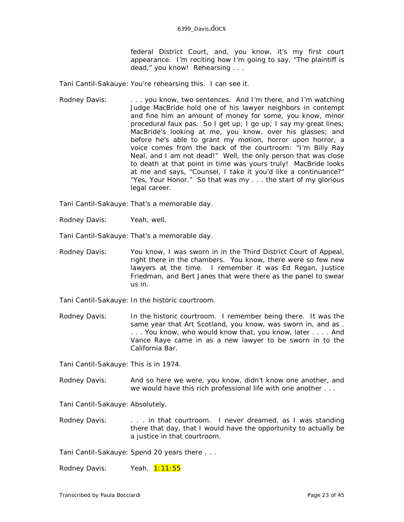federal District Court, and, you know, it's my first court appearance. I'm reciting how I'm going to say, "The plaintiff is dead," you know! Rehearsing . . .

Tani Cantil-Sakauye: You're rehearsing this. I can see it.

Rodney Davis: . . . . . you know, two sentences. And I'm there, and I'm watching Judge MacBride hold one of his lawyer neighbors in contempt and fine him an amount of money for some, you know, minor procedural faux pas. So I get up; I go up; I say my great lines; MacBride's looking at me, you know, over his glasses; and before he's able to grant my motion, horror upon horror, a voice comes from the back of the courtroom: "I'm Billy Ray Neal, and I am not dead!" Well, the only person that was close to death at that point in time was yours truly! MacBride looks at me and says, "Counsel, I take it you'd like a continuance?" "Yes, Your Honor." So that was my . . . the start of my glorious legal career.

Tani Cantil-Sakauye: That's a memorable day.

Rodney Davis: Yeah, well.

Tani Cantil-Sakauye: That's a memorable day.

- Rodney Davis: You know, I was sworn in in the Third District Court of Appeal, right there in the chambers. You know, there were so few new lawyers at the time. I remember it was Ed Regan, Justice Friedman, and Bert Janes that were there as the panel to swear us in.
- Tani Cantil-Sakauye: In the historic courtroom.
- Rodney Davis: In the historic courtroom. I remember being there. It was the same year that Art Scotland, you know, was sworn in, and as . . . . You know, who would know that, you know, later . . . . And Vance Raye came in as a new lawyer to be sworn in to the California Bar.

Tani Cantil-Sakauye: This is in 1974.

Rodney Davis: And so here we were, you know, didn't know one another, and we would have this rich professional life with one another . . .

Tani Cantil-Sakauye: Absolutely.

Rodney Davis: . . . . in that courtroom. I never *dreamed*, as I was standing there that day, that I would have the opportunity to actually be a justice in that courtroom.

Tani Cantil-Sakauye: Spend 20 years there . . .

Rodney Davis: Yeah. 1:11:55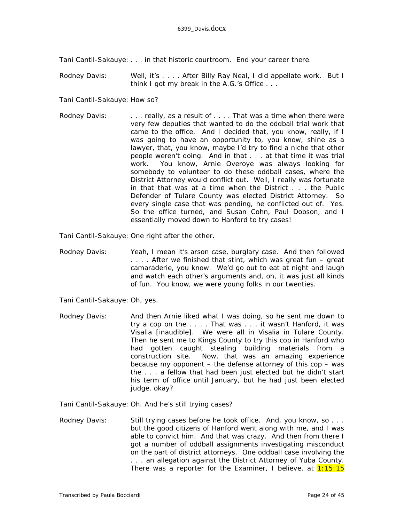Tani Cantil-Sakauye: . . . in that historic courtroom. End your career there.

Rodney Davis: Well, it's . . . . After Billy Ray Neal, I did appellate work. But I think I got my break in the A.G.'s Office . . .

Tani Cantil-Sakauye: How so?

Rodney Davis: . . . . . really, as a result of . . . . That was a time when there were very few deputies that wanted to do the oddball trial work that came to the office. And I decided that, you know, really, if I was going to have an opportunity to, you know, shine as a lawyer, that, you know, maybe I'd try to find a niche that other people weren't doing. And in that . . . at that time it was trial work. You know, Arnie Overoye was always looking for somebody to volunteer to do these oddball cases, where the District Attorney would conflict out. Well, I really was fortunate in that that was at a time when the District . . . the Public Defender of Tulare County was elected District Attorney. So every single case that was pending, he conflicted out of. Yes. So the office turned, and Susan Cohn, Paul Dobson, and I essentially moved down to Hanford to try cases!

Tani Cantil-Sakauye: One right after the other.

Rodney Davis: Yeah, I mean it's arson case, burglary case. And then followed . . . . After we finished that stint, which was great fun – great camaraderie, you know. We'd go out to eat at night and laugh and watch each other's arguments and, oh, it was just all kinds of fun. You know, we were young folks in our twenties.

Tani Cantil-Sakauye: Oh, yes.

Rodney Davis: And then Arnie liked what I was doing, so he sent me down to try a cop on the . . . . That was . . . it wasn't Hanford, it was Visalia *[inaudible]*. We were all in Visalia in Tulare County. Then he sent me to Kings County to try this cop in Hanford who had gotten caught stealing building materials from a construction site. Now, that was an amazing experience because my opponent – the defense attorney of this cop – was the . . . a fellow that had been just elected but he didn't start his term of office until January, but he had just been elected judge, okay?

Tani Cantil-Sakauye: Oh. And he's still trying cases?

Rodney Davis: Still trying cases before he took office. And, you know, so ... but the good citizens of Hanford went along with me, and I was able to convict him. And that was crazy. And then from there I got a number of oddball assignments investigating misconduct on the part of district attorneys. One oddball case involving the . . . an allegation against the District Attorney of Yuba County. There was a reporter for the *Examiner*, I believe, at 1:15:15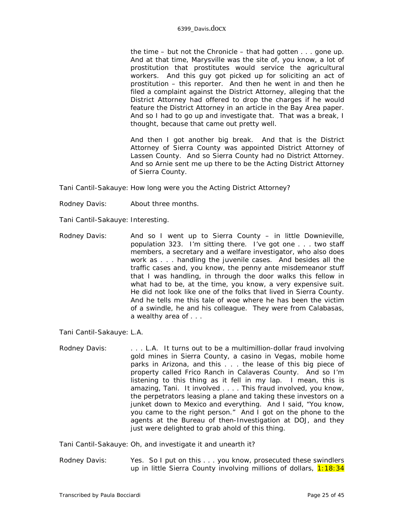the time – but not the *Chronicle* – that had gotten . . . gone up. And at that time, Marysville was the site of, you know, a lot of prostitution that prostitutes would service the agricultural workers. And this guy got picked up for soliciting an act of prostitution – this reporter. And then he went in and then he filed a complaint against the District Attorney, alleging that the District Attorney had offered to drop the charges if he would feature the District Attorney in an article in the Bay Area paper. And so I had to go up and investigate that. That was a break, I thought, because that came out pretty well.

And then I got another big break. And that is the District Attorney of Sierra County was appointed District Attorney of Lassen County. And so Sierra County had no District Attorney. And so Arnie sent me up there to be the Acting District Attorney of Sierra County.

Tani Cantil-Sakauye: How long were you the Acting District Attorney?

- Rodney Davis: About three months.
- Tani Cantil-Sakauye: Interesting.
- Rodney Davis: And so I went up to Sierra County in little Downieville, population 323. I'm sitting there. I've got one . . . two staff members, a secretary and a welfare investigator, who also does work as . . . handling the juvenile cases. And besides all the traffic cases and, you know, the penny ante misdemeanor stuff that I was handling, in through the door walks this fellow in what had to be, at the time, you know, a very expensive suit. He did not look like one of the folks that lived in Sierra County. And he tells me this tale of woe where he has been the victim of a swindle, he and his colleague. They were from Calabasas, a wealthy area of . . .

Tani Cantil-Sakauye: L.A.

Rodney Davis: . . . . . . L.A. It turns out to be a multimillion-dollar fraud involving gold mines in Sierra County, a casino in Vegas, mobile home parks in Arizona, and this . . . the lease of this big piece of property called Frico Ranch in Calaveras County. And so I'm listening to this thing as it fell in my lap. I mean, this is amazing, Tani. It involved . . . . This fraud involved, you know, the perpetrators leasing a plane and taking these investors on a junket down to Mexico and everything. And I said, "You know, you came to the right person." And I got on the phone to the agents at the Bureau of then-Investigation at DOJ, and they just were delighted to grab ahold of this thing.

Tani Cantil-Sakauye: Oh, and investigate it and unearth it?

Rodney Davis: Yes. So I put on this . . . you know, prosecuted these swindlers up in little Sierra County involving millions of dollars, 1:18:34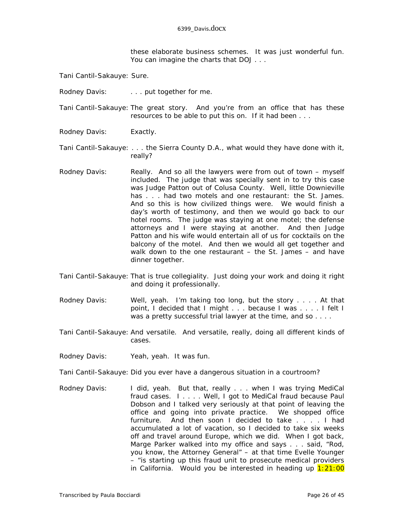these elaborate business schemes. It was just wonderful fun. You can imagine the charts that DOJ . . .

- Tani Cantil-Sakauye: Sure.
- Rodney Davis: . . . . . . put together for me.
- Tani Cantil-Sakauye: The great story. And you're from an office that has these resources to be able to put this on. If it had been . . .
- Rodney Davis: Exactly.
- Tani Cantil-Sakauye: . . . the Sierra County D.A., what would they have done with it, really?
- Rodney Davis: Really. And so all the lawyers were from out of town myself included. The judge that was specially sent in to try this case was Judge Patton out of Colusa County. Well, little Downieville has . . . had two motels and one restaurant: the St. James. And so this is how civilized things were. We would finish a day's worth of testimony, and then we would go back to our hotel rooms. The judge was staying at one motel; the defense attorneys and I were staying at another. And then Judge Patton and his wife would entertain all of us for cocktails on the balcony of the motel. And then we would all get together and walk down to the one restaurant – the St. James – and have dinner together.
- Tani Cantil-Sakauye: That is true collegiality. Just doing your work and doing it right and doing it professionally.
- Rodney Davis: Well, yeah. I'm taking too long, but the story . . . . At that point, I decided that I might . . . because I was . . . . I felt I was a pretty successful trial lawyer at the time, and so . . . .
- Tani Cantil-Sakauye: And versatile. And versatile, really, doing all different kinds of cases.
- Rodney Davis: Yeah, yeah. It was fun.
- Tani Cantil-Sakauye: Did you ever have a dangerous situation in a courtroom?
- Rodney Davis: I did, yeah. But that, really . . . when I was trying MediCal fraud cases. I . . . . Well, I got to MediCal fraud because Paul Dobson and I talked very seriously at that point of leaving the office and going into private practice. We shopped office furniture. And then soon I decided to take . . . . I had accumulated a lot of vacation, so I decided to take six weeks off and travel around Europe, which we did. When I got back, Marge Parker walked into my office and says . . . said, "Rod, you know, the Attorney General" – at that time Evelle Younger – "is starting up this fraud unit to prosecute medical providers in California. Would you be interested in heading up  $1:21:00$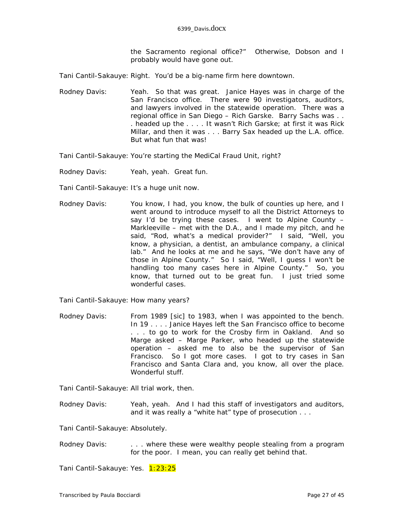the Sacramento regional office?" Otherwise, Dobson and I probably would have gone out.

Tani Cantil-Sakauye: Right. You'd be a big-name firm here downtown.

Rodney Davis: Yeah. So that was great. Janice Hayes was in charge of the San Francisco office. There were 90 investigators, auditors, and lawyers involved in the statewide operation. There was a regional office in San Diego – Rich Garske. Barry Sachs was . . . headed up the . . . . It wasn't Rich Garske; at first it was Rick Millar, and then it was . . . Barry Sax headed up the L.A. office. But what fun that was!

Tani Cantil-Sakauye: You're starting the MediCal Fraud Unit, right?

Rodney Davis: Yeah, yeah. Great fun.

Tani Cantil-Sakauye: It's a *huge* unit now.

Rodney Davis: You know, I had, you know, the bulk of counties up here, and I went around to introduce myself to all the District Attorneys to say I'd be trying these cases. I went to Alpine County – Markleeville – met with the D.A., and I made my pitch, and he said, "Rod, what's a medical provider?" I said, "Well, you know, a physician, a dentist, an ambulance company, a clinical lab." And he looks at me and he says, "We don't have any of those in Alpine County." So I said, "Well, I guess I won't be handling too many cases here in Alpine County." So, you know, that turned out to be great fun. I just tried some wonderful cases.

Tani Cantil-Sakauye: How many years?

Rodney Davis: From 1989 *[sic]* to 1983, when I was appointed to the bench. In 19 . . . . Janice Hayes left the San Francisco office to become . . . to go to work for the Crosby firm in Oakland. And so Marge asked – Marge Parker, who headed up the statewide operation – asked me to also be the supervisor of San Francisco. So I got more cases. I got to try cases in San Francisco and Santa Clara and, you know, all over the place. Wonderful stuff.

Tani Cantil-Sakauye: All trial work, then.

Rodney Davis: Yeah, yeah. And I had this staff of investigators and auditors, and it was really a "white hat" type of prosecution . . .

Tani Cantil-Sakauye: Absolutely.

Rodney Davis: . . . . . where these were wealthy people stealing from a program for the poor. I mean, you can really get behind that.

Tani Cantil-Sakauye: Yes. 1:23:25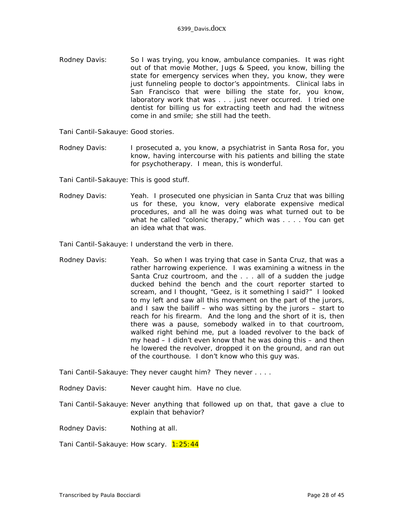Rodney Davis: So I was trying, you know, ambulance companies. It was right out of that movie *Mother, Jugs & Speed,* you know, billing the state for emergency services when they, you know, they were just funneling people to doctor's appointments. Clinical labs in San Francisco that were billing the state for, you know, laboratory work that was . . . just never occurred. I tried one dentist for billing us for extracting teeth and had the witness come in and smile; she still had the teeth.

Tani Cantil-Sakauye: Good stories.

Rodney Davis: I prosecuted a, you know, a psychiatrist in Santa Rosa for, you know, having intercourse with his patients and billing the state for psychotherapy. I mean, this is wonderful.

Tani Cantil-Sakauye: This is good stuff.

Rodney Davis: Yeah. I prosecuted one physician in Santa Cruz that was billing us for these, you know, very elaborate expensive medical procedures, and all he was doing was what turned out to be what he called "colonic therapy," which was . . . . You can get an idea what that was.

Tani Cantil-Sakauye: I understand the verb in there.

Rodney Davis: Yeah. So when I was trying that case in Santa Cruz, that was a rather harrowing experience. I was examining a witness in the Santa Cruz courtroom, and the . . . all of a sudden the judge ducked behind the bench and the court reporter started to scream, and I thought, "Geez, is it something I said?" I looked to my left and saw all this movement on the part of the jurors, and I saw the bailiff – who was sitting by the jurors – start to reach for his firearm. And the long and the short of it is, then there was a pause, somebody walked in to that courtroom, walked right behind me, put a loaded revolver to the back of my head – I didn't even know that he was doing this – and then he lowered the revolver, dropped it on the ground, and ran out of the courthouse. I don't know who this guy was.

Tani Cantil-Sakauye: They never caught him? They never . . . .

Rodney Davis: Never caught him. Have no clue.

Tani Cantil-Sakauye: Never anything that followed up on that, that gave a clue to explain that behavior?

Rodney Davis: Nothing at all.

Tani Cantil-Sakauye: How scary. 1:25:44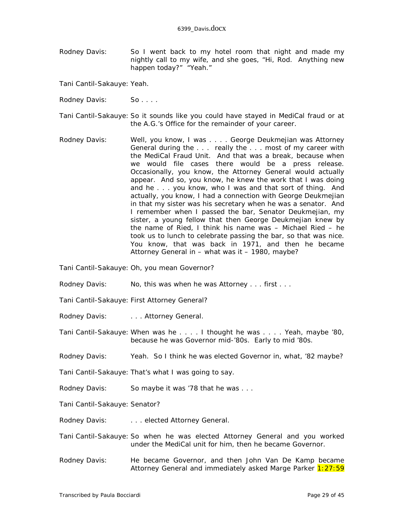Rodney Davis: So I went back to my hotel room that night and made my nightly call to my wife, and she goes, "Hi, Rod. Anything new happen today?" "Yeah."

Tani Cantil-Sakauye: Yeah.

- Rodney Davis: So....
- Tani Cantil-Sakauye: So it sounds like you could have stayed in MediCal fraud or at the A.G.'s Office for the remainder of your career.
- Rodney Davis: Well, you know, I was . . . . George Deukmejian was Attorney General during the . . . really the . . . most of my career with the MediCal Fraud Unit. And that was a break, because when we would file cases there would be a press release. Occasionally, you know, the Attorney General would actually appear. And so, you know, he knew the work that I was doing and he . . . you know, who I was and that sort of thing. And actually, you know, I had a connection with George Deukmejian in that my sister was his secretary when he was a senator. And I remember when I passed the bar, Senator Deukmejian, my sister, a young fellow that then George Deukmejian knew by the name of Ried, I think his name was – Michael Ried – he took us to lunch to celebrate passing the bar, so that was nice. You know, that was back in 1971, and then he became Attorney General in – what was it – 1980, maybe?

Tani Cantil-Sakauye: Oh, you mean Governor?

- Rodney Davis: No, this was when he was Attorney . . . first . . .
- Tani Cantil-Sakauye: First Attorney General?
- Rodney Davis: . . . . . Attorney General.
- Tani Cantil-Sakauye: When was he . . . . I thought he was . . . . Yeah, maybe '80, because he was Governor mid-'80s. Early to mid '80s.
- Rodney Davis: Yeah. So I think he was elected Governor in, what, '82 maybe?
- Tani Cantil-Sakauye: That's what I was going to say.
- Rodney Davis: So maybe it was '78 that he was . . .
- Tani Cantil-Sakauye: Senator?
- Rodney Davis: . . . . . . elected Attorney General.
- Tani Cantil-Sakauye: So when he was elected Attorney General and you worked under the MediCal unit for him, then he became Governor.
- Rodney Davis: He became Governor, and then John Van De Kamp became Attorney General and immediately asked Marge Parker 1:27:59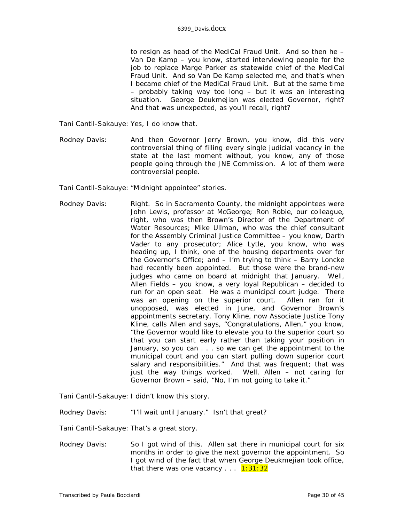to resign as head of the MediCal Fraud Unit. And so then he – Van De Kamp – you know, started interviewing people for the job to replace Marge Parker as statewide chief of the MediCal Fraud Unit. And so Van De Kamp selected me, and that's when I became chief of the MediCal Fraud Unit. But at the same time – probably taking way too long – but it was an interesting situation. George Deukmejian was elected Governor, right? And that was unexpected, as you'll recall, right?

Tani Cantil-Sakauye: Yes, I do know that.

Rodney Davis: And then Governor Jerry Brown, you know, did this very controversial thing of filling every single judicial vacancy in the state at the last moment without, you know, any of those people going through the JNE Commission. A lot of them were controversial people.

Tani Cantil-Sakauye: "Midnight appointee" stories.

Rodney Davis: Right. So in Sacramento County, the midnight appointees were John Lewis, professor at McGeorge; Ron Robie, our colleague, right, who was then Brown's Director of the Department of Water Resources; Mike Ullman, who was the chief consultant for the Assembly Criminal Justice Committee – you know, Darth Vader to any prosecutor; Alice Lytle, you know, who was heading up, I think, one of the housing departments over for the Governor's Office; and – I'm trying to think – Barry Loncke had recently been appointed. But those were the brand-new judges who came on board at midnight that January. Well, Allen Fields – you know, a very loyal Republican – decided to run for an open seat. He was a municipal court judge. There was an opening on the superior court. Allen ran for it unopposed, was elected in June, and Governor Brown's appointments secretary, Tony Kline, now Associate Justice Tony Kline, calls Allen and says, "Congratulations, Allen," you know, "the Governor would like to elevate you to the superior court so that you can start early rather than taking your position in January, so you can . . . so we can get the appointment to the municipal court and you can start pulling down superior court salary and responsibilities." And that was frequent; that was just the way things worked. Well, Allen – not caring for Governor Brown – said, "No, I'm not going to take it."

Tani Cantil-Sakauye: I didn't know this story.

Rodney Davis: "I'll wait until January." Isn't that great?

Tani Cantil-Sakauye: That's a great story.

Rodney Davis: So I got wind of this. Allen sat there in municipal court for six months in order to give the next governor the appointment. So I got wind of the fact that when George Deukmejian took office, that there was one vacancy  $\dots$  1:31:32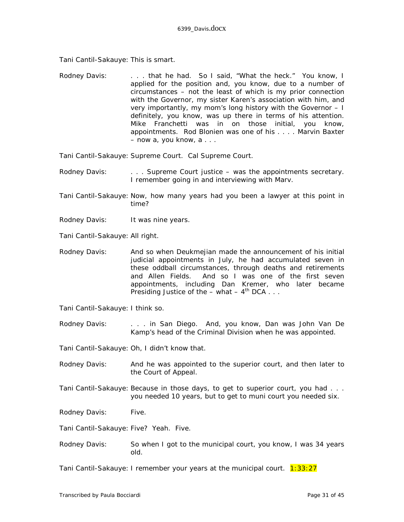Tani Cantil-Sakauye: This is smart.

Rodney Davis: . . . . that he had. So I said, "What the heck." You know, I applied for the position and, you know, due to a number of circumstances – not the least of which is my prior connection with the Governor, my sister Karen's association with him, and very importantly, my mom's long history with the Governor – I definitely, you know, was up there in terms of his attention. Mike Franchetti was in on those initial, you know, appointments. Rod Blonien was one of his . . . . Marvin Baxter – now a, you know, a . . .

Tani Cantil-Sakauye: Supreme Court. Cal Supreme Court.

- Rodney Davis: . . . . . Supreme Court justice was the appointments secretary. I remember going in and interviewing with Marv.
- Tani Cantil-Sakauye: Now, how many years had you been a lawyer at this point in time?
- Rodney Davis: It was nine years.
- Tani Cantil-Sakauye: All right.
- Rodney Davis: And so when Deukmejian made the announcement of his initial judicial appointments in July, he had accumulated seven in these oddball circumstances, through deaths and retirements and Allen Fields. And so I was one of the first seven appointments, including Dan Kremer, who later became Presiding Justice of the – what –  $4^{th}$  DCA . . .

Tani Cantil-Sakauye: I think so.

Rodney Davis: . . . . in San Diego. And, you know, Dan was John Van De Kamp's head of the Criminal Division when he was appointed.

Tani Cantil-Sakauye: Oh, I didn't know that.

- Rodney Davis: And he was appointed to the superior court, and then later to the Court of Appeal.
- Tani Cantil-Sakauye: Because in those days, to get to superior court, you had . . . you needed 10 years, but to get to muni court you needed six.
- Rodney Davis: Five.

Tani Cantil-Sakauye: Five? Yeah. Five.

Rodney Davis: So when I got to the municipal court, you know, I was 34 years old.

Tani Cantil-Sakauye: I remember your years at the municipal court. 1:33:27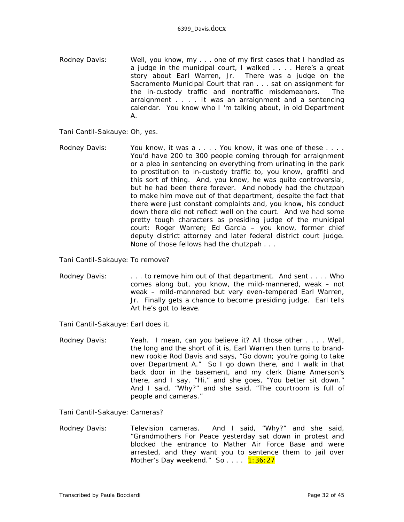- Rodney Davis: Well, you know, my . . . one of my first cases that I handled as a judge in the municipal court, I walked . . . . Here's a great story about Earl Warren, Jr. There was a judge on the Sacramento Municipal Court that ran . . . sat on assignment for the in-custody traffic and nontraffic misdemeanors. The arraignment . . . . It was an arraignment and a sentencing calendar. You know who I 'm talking about, in old Department A.
- Tani Cantil-Sakauye: Oh, yes.
- Rodney Davis: You know, it was a . . . . You know, it was one of these . . . . You'd have 200 to 300 people coming through for arraignment or a plea in sentencing on everything from urinating in the park to prostitution to in-custody traffic to, you know, graffiti and this sort of thing. And, you know, he was quite controversial, but he had been there forever. And nobody had the chutzpah to make him move out of that department, despite the fact that there were just constant complaints and, you know, his conduct down there did not reflect well on the court. And we had some pretty tough characters as presiding judge of the municipal court: Roger Warren; Ed Garcia – you know, former chief deputy district attorney and later federal district court judge. None of those fellows had the chutzpah . . .

Tani Cantil-Sakauye: To remove?

Rodney Davis: . . . . to remove him out of that department. And sent . . . . Who comes along but, you know, the mild-mannered, weak – not weak – mild-mannered but very even-tempered Earl Warren, Jr. Finally gets a chance to become presiding judge. Earl tells Art he's got to leave.

Tani Cantil-Sakauye: Earl does it.

Rodney Davis: Yeah. I mean, can you believe it? All those other . . . . Well, the long and the short of it is, Earl Warren then turns to brandnew rookie Rod Davis and says, "Go down; you're going to take over Department A." So I go down there, and I walk in that back door in the basement, and my clerk Diane Amerson's there, and I say, "Hi," and she goes, "You better sit down." And I said, "Why?" and she said, "The courtroom is full of people and cameras."

Tani Cantil-Sakauye: Cameras?

Rodney Davis: Television cameras. And I said, "Why?" and she said, "Grandmothers For Peace yesterday sat down in protest and blocked the entrance to Mather Air Force Base and were arrested, and they want you to sentence them to jail over Mother's Day weekend." So.... 1:36:27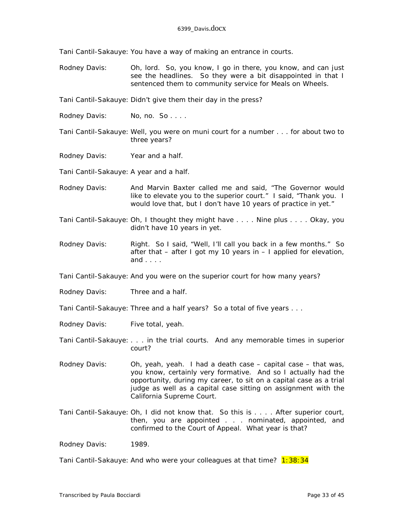Tani Cantil-Sakauye: You have a way of making an entrance in courts.

Rodney Davis: Oh, lord. So, you know, I go in there, you know, and can just see the headlines. So they were a bit disappointed in that I sentenced them to community service for Meals on Wheels.

Tani Cantil-Sakauye: Didn't give them their day in the press?

- Rodney Davis: No, no. So....
- Tani Cantil-Sakauye: Well, you were on muni court for a number . . . for about two to three years?
- Rodney Davis: Year and a half.

Tani Cantil-Sakauye: A year and a half.

- Rodney Davis: And Marvin Baxter called me and said, "The Governor would like to elevate you to the superior court." I said, "Thank you. I would love that, but I don't have 10 years of practice in yet."
- Tani Cantil-Sakauye: Oh, I thought they might have . . . . Nine plus . . . . Okay, you didn't have 10 years in yet.
- Rodney Davis: Right. So I said, "Well, I'll call you back in a few months." So after that – after I got my 10 years in – I applied for elevation, and . . . .
- Tani Cantil-Sakauye: And you were on the superior court for how many years?
- Rodney Davis: Three and a half.
- Tani Cantil-Sakauye: Three and a half years? So a total of five years . . .
- Rodney Davis: Five total, yeah.
- Tani Cantil-Sakauye: . . . in the trial courts. And any memorable times in superior court?
- Rodney Davis: Oh, yeah, yeah. I had a death case capital case that was, you know, certainly very formative. And so I actually had the opportunity, during my career, to sit on a capital case as a trial judge as well as a capital case sitting on assignment with the California Supreme Court.
- Tani Cantil-Sakauye: Oh, I did not know that. So this is . . . . After superior court, then, you are appointed . . . nominated, appointed, and confirmed to the Court of Appeal. What year is that?

Rodney Davis: 1989.

Tani Cantil-Sakauye: And who were your colleagues at that time? 1:38:34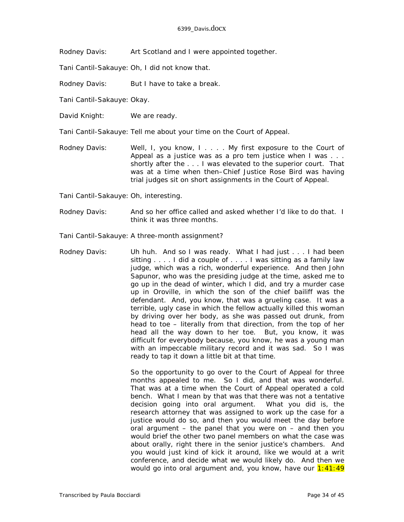Rodney Davis: Art Scotland and I were appointed together.

Tani Cantil-Sakauye: Oh, I did not know that.

Rodney Davis: But I have to take a break.

Tani Cantil-Sakauye: Okay.

David Knight: We are ready.

Tani Cantil-Sakauye: Tell me about your time on the Court of Appeal.

Rodney Davis: Well, I, you know, I.... My first exposure to the Court of Appeal as a justice was as a pro tem justice when I was . . . shortly after the . . . I was elevated to the superior court. That was at a time when then–Chief Justice Rose Bird was having trial judges sit on short assignments in the Court of Appeal.

Tani Cantil-Sakauye: Oh, interesting.

Rodney Davis: And so her office called and asked whether I'd like to do that. I think it was three months.

Tani Cantil-Sakauye: A three-month assignment?

Rodney Davis: Uh huh. And so I was ready. What I had just . . . I had been sitting . . . . I did a couple of . . . . I was sitting as a family law judge, which was a rich, wonderful experience. And then John Sapunor, who was the presiding judge at the time, asked me to go up in the dead of winter, which I did, and try a murder case up in Oroville, in which the son of the chief bailiff was the defendant. And, you know, that was a grueling case. It was a terrible, ugly case in which the fellow actually killed this woman by driving over her body, as she was passed out drunk, from head to toe – literally from that direction, from the top of her head all the way down to her toe. But, you know, it was difficult for everybody because, you know, he was a young man with an impeccable military record and it was sad. So I was ready to tap it down a little bit at that time.

> So the opportunity to go over to the Court of Appeal for three months appealed to me. So I did, and that was wonderful. That was at a time when the Court of Appeal operated a cold bench. What I mean by that was that there was not a tentative decision going into oral argument. What you did is, the research attorney that was assigned to work up the case for a justice would do so, and then you would meet the day before oral argument – the panel that you were on – and then you would brief the other two panel members on what the case was about orally, right there in the senior justice's chambers. And you would just kind of kick it around, like we would at a writ conference, and decide what we would likely do. And then we would go into oral argument and, you know, have our  $1:41:49$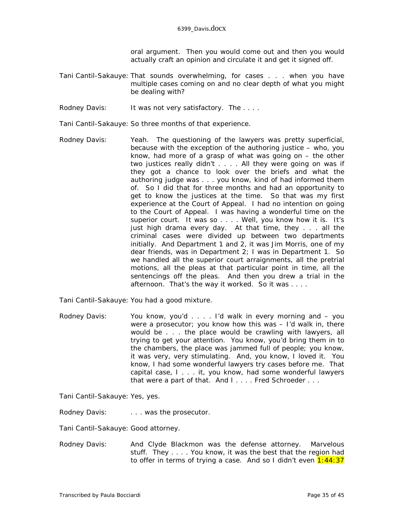oral argument. Then you would come out and then you would actually craft an opinion and circulate it and get it signed off.

- Tani Cantil-Sakauye: That sounds overwhelming, for cases . . . when you have multiple cases coming on and no clear depth of what you might be dealing with?
- Rodney Davis: It was not very satisfactory. The ....
- Tani Cantil-Sakauye: So three months of that experience.
- Rodney Davis: Yeah. The questioning of the lawyers was pretty superficial, because with the exception of the authoring justice – who, you know, had more of a grasp of what was going on – the other two justices really didn't . . . . All they were going on was if they got a chance to look over the briefs and what the authoring judge was . . . you know, kind of had informed them of. So I did that for three months and had an opportunity to get to know the justices at the time. So that was my first experience at the Court of Appeal. I had no intention on going to the Court of Appeal. I was having a wonderful time on the superior court. It was so . . . . Well, you know how it is. It's just high drama every day. At that time, they . . . all the criminal cases were divided up between two departments initially. And Department 1 and 2, it was Jim Morris, one of my dear friends, was in Department 2; I was in Department 1. So we handled all the superior court arraignments, all the pretrial motions, all the pleas at that particular point in time, all the sentencings off the pleas. And then you drew a trial in the afternoon. That's the way it worked. So it was . . . .
- Tani Cantil-Sakauye: You had a good mixture.
- Rodney Davis: You know, you'd . . . . I'd walk in every morning and you were a prosecutor; you know how this was – I'd walk in, there would be . . . the place would be crawling with lawyers, all trying to get your attention. You know, you'd bring them in to the chambers, the place was jammed full of people; you know, it was very, very stimulating. And, you know, I loved it. You know, I had some wonderful lawyers try cases before me. That capital case, I . . . it, you know, had some wonderful lawyers that were a part of that. And I.... Fred Schroeder...

Tani Cantil-Sakauye: Yes, yes.

Rodney Davis: . . . . . was the prosecutor.

Tani Cantil-Sakauye: Good attorney.

Rodney Davis: And Clyde Blackmon was the defense attorney. Marvelous stuff. They . . . . You know, it was the best that the region had to offer in terms of trying a case. And so I didn't even  $1:44:37$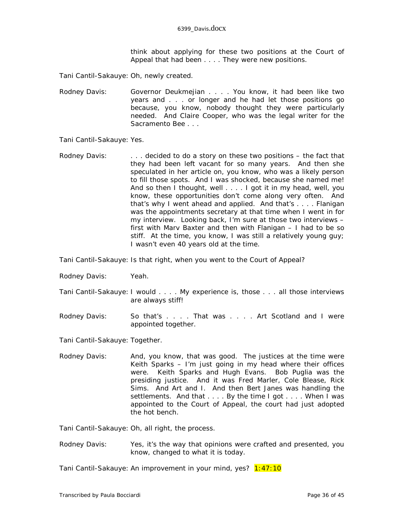think about applying for these two positions at the Court of Appeal that had been . . . . They were new positions.

Tani Cantil-Sakauye: Oh, newly created.

Rodney Davis: Governor Deukmejian . . . . You know, it had been like two years and . . . or longer and he had let those positions go because, you know, nobody thought they were particularly needed. And Claire Cooper, who was the legal writer for the *Sacramento Bee* . . .

Tani Cantil-Sakauye: Yes.

Rodney Davis: . . . . decided to do a story on these two positions - the fact that they had been left vacant for so many years. And then she speculated in her article on, you know, who was a likely person to fill those spots. And I was shocked, because she named me! And so then I thought, well . . . . I got it in my head, well, you know, these opportunities don't come along very often. And that's why I went ahead and applied. And that's . . . . Flanigan was the appointments secretary at that time when I went in for my interview. Looking back, I'm sure at those two interviews – first with Marv Baxter and then with Flanigan – I had to be so stiff. At the time, you know, I was still a relatively young guy; I wasn't even 40 years old at the time.

Tani Cantil-Sakauye: Is that right, when you went to the Court of Appeal?

- Rodney Davis: Yeah.
- Tani Cantil-Sakauye: I would . . . . My experience is, those . . . all those interviews are always stiff!
- Rodney Davis: So that's . . . That was . . . Art Scotland and I were appointed together.

Tani Cantil-Sakauye: Together.

Rodney Davis: And, you know, that was good. The justices at the time were Keith Sparks – I'm just going in my head where their offices were. Keith Sparks and Hugh Evans. Bob Puglia was the presiding justice. And it was Fred Marler, Cole Blease, Rick Sims. And Art and I. And then Bert Janes was handling the settlements. And that . . . . By the time I got . . . . When I was appointed to the Court of Appeal, the court had just adopted the hot bench.

Tani Cantil-Sakauye: Oh, all right, the process.

Rodney Davis: Yes, it's the way that opinions were crafted and presented, you know, changed to what it is today.

Tani Cantil-Sakauye: An improvement in your mind, yes? 1:47:10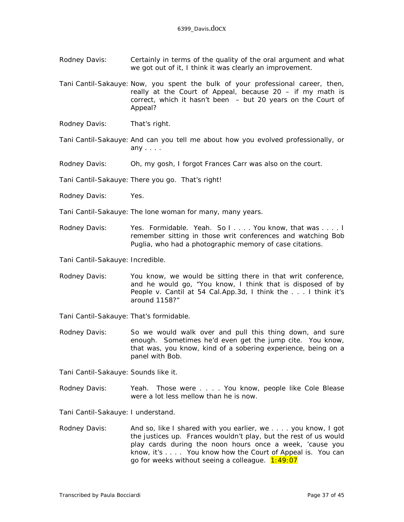- Rodney Davis: Certainly in terms of the quality of the oral argument and what we got out of it, I think it was clearly an improvement.
- Tani Cantil-Sakauye: Now, you spent the bulk of your professional career, then, really at the Court of Appeal, because  $20 - if$  my math is correct, which it hasn't been – but 20 years on the Court of Appeal?
- Rodney Davis: That's right.
- Tani Cantil-Sakauye: And can you tell me about how you evolved professionally, or any . . . .
- Rodney Davis: Oh, my gosh, I forgot Frances Carr was also on the court.
- Tani Cantil-Sakauye: There you go. That's right!
- Rodney Davis: Yes.
- Tani Cantil-Sakauye: The lone woman for many, many years.
- Rodney Davis: Yes. Formidable. Yeah. So I.... You know, that was .... I remember sitting in those writ conferences and watching Bob Puglia, who had a photographic memory of case citations.
- Tani Cantil-Sakauye: Incredible.
- Rodney Davis: You know, we would be sitting there in that writ conference, and he would go, "You know, I think that is disposed of by *People v. Cantil* at 54 Cal.App.3d, I think the . . . I think it's around 1158?"
- Tani Cantil-Sakauye: That's formidable.
- Rodney Davis: So we would walk over and pull this thing down, and sure enough. Sometimes he'd even get the jump cite. You know, that was, you know, kind of a sobering experience, being on a panel with Bob.

Tani Cantil-Sakauye: Sounds like it.

Rodney Davis: Yeah. Those were . . . . You know, people like Cole Blease were a lot less mellow than he is now.

Tani Cantil-Sakauye: I understand.

Rodney Davis: And so, like I shared with you earlier, we . . . . you know, I got the justices up. Frances wouldn't play, but the rest of us would play cards during the noon hours once a week, 'cause you know, it's . . . . You know how the Court of Appeal is. You can go for weeks without seeing a colleague. 1:49:07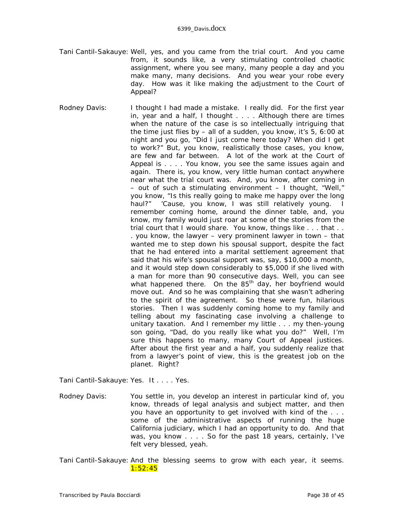- Tani Cantil-Sakauye: Well, yes, and you came from the trial court. And you came from, it sounds like, a very stimulating controlled chaotic assignment, where you see many, many people a day and you make many, many decisions. And you wear your robe every day. How was it like making the adjustment to the Court of Appeal?
- Rodney Davis: I thought I had made a mistake. I really did. For the first year in, year and a half, I thought . . . . Although there are times when the nature of the case is so intellectually intriguing that the time just flies by – all of a sudden, you know, it's 5, 6:00 at night and you go, "Did I just come here today? When did I get to work?" But, you know, realistically those cases, you know, are few and far between. A lot of the work at the Court of Appeal is . . . . You know, you see the same issues again and again. There is, you know, very little human contact anywhere near what the trial court was. And, you know, after coming in – out of such a stimulating environment – I thought, "Well," you know, "Is this really going to make me happy over the long haul?" 'Cause, you know, I was still relatively young. I remember coming home, around the dinner table, and, you know, my family would just roar at some of the stories from the trial court that I would share. You know, things like . . . that . . . you know, the lawyer  $-$  very prominent lawyer in town  $-$  that wanted me to step down his spousal support, despite the fact that he had entered into a marital settlement agreement that said that his wife's spousal support was, say, \$10,000 a month, and it would step down considerably to \$5,000 if she lived with a man for more than 90 *consecutive* days. Well, you can see what happened there. On the  $85<sup>th</sup>$  day, her boyfriend would move out. And so he was complaining that she wasn't adhering to the spirit of the agreement. So these were fun, hilarious stories. Then I was suddenly coming home to my family and telling about my fascinating case involving a challenge to unitary taxation. And I remember my little . . . my then-young son going, "Dad, do you really *like* what you do?" Well, I'm sure this happens to many, many Court of Appeal justices. After about the first year and a half, you suddenly realize that from a lawyer's point of view, this is the greatest job on the planet. Right?

Tani Cantil-Sakauye: Yes. It . . . . Yes.

Rodney Davis: You settle in, you develop an interest in particular kind of, you know, threads of legal analysis and subject matter, and then you have an opportunity to get involved with kind of the . . . some of the administrative aspects of running the huge California judiciary, which I had an opportunity to do. And that was, you know . . . . So for the past 18 years, certainly, I've felt very blessed, yeah.

Tani Cantil-Sakauye: And the blessing seems to grow with each year, it seems. 1:52:45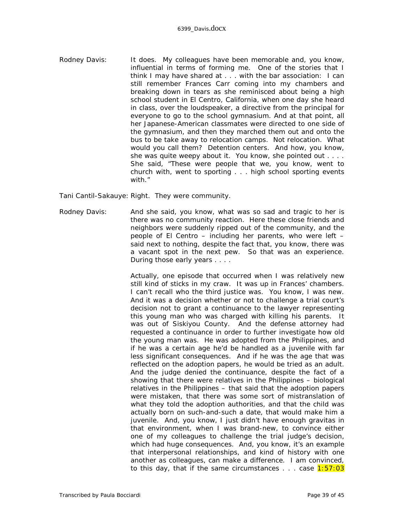Rodney Davis: It does. My colleagues have been memorable and, you know, influential in terms of forming me. One of the stories that I think I may have shared at . . . with the bar association: I can still remember Frances Carr coming into my chambers and breaking down in tears as she reminisced about being a high school student in El Centro, California, when one day she heard in class, over the loudspeaker, a directive from the principal for everyone to go to the school gymnasium. And at that point, all her Japanese-American classmates were directed to one side of the gymnasium, and then they marched them out and onto the bus to be take away to relocation camps. Not relocation. What would you call them? Detention centers. And how, you know, she was quite weepy about it. You know, she pointed out . . . . She said, "These were people that we, you know, went to church with, went to sporting . . . high school sporting events with."

Tani Cantil-Sakauye: Right. They were community.

Rodney Davis: And she said, you know, what was so sad and tragic to her is there was no community reaction. Here these close friends and neighbors were suddenly ripped out of the community, and the people of El Centro – including her parents, who were left – said next to nothing, despite the fact that, you know, there was a vacant spot in the next pew. So that was an experience. During those early years . . . .

> Actually, one episode that occurred when I was relatively new still kind of sticks in my craw. It was up in Frances' chambers. I can't recall who the third justice was. You know, I was new. And it was a decision whether or not to challenge a trial court's decision not to grant a continuance to the lawyer representing this young man who was charged with killing his parents. It was out of Siskiyou County. And the defense attorney had requested a continuance in order to further investigate how old the young man was. He was adopted from the Philippines, and if he was a certain age he'd be handled as a juvenile with far less significant consequences. And if he was the age that was reflected on the adoption papers, he would be tried as an adult. And the judge denied the continuance, despite the fact of a showing that there were relatives in the Philippines – biological relatives in the Philippines – that said that the adoption papers were mistaken, that there was some sort of mistranslation of what they told the adoption authorities, and that the child was actually born on such-and-such a date, that would make him a juvenile. And, you know, I just didn't have enough gravitas in that environment, when I was brand-new, to convince either one of my colleagues to challenge the trial judge's decision, which had huge consequences. And, you know, it's an example that interpersonal relationships, and kind of history with one another as colleagues, can make a difference. I am convinced, to this day, that if the same circumstances  $\ldots$  case  $1:57:03$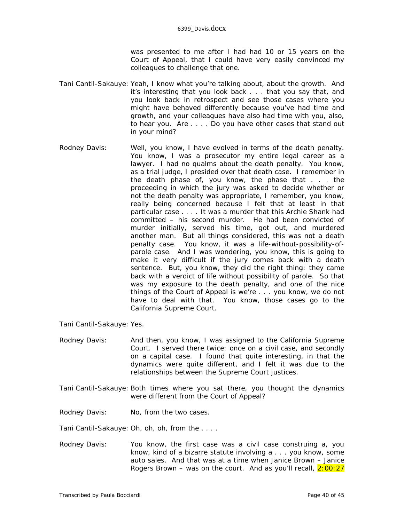was presented to me after I had had 10 or 15 years on the Court of Appeal, that I could have very easily convinced my colleagues to challenge that one.

- Tani Cantil-Sakauye: Yeah, I know what you're talking about, about the growth. And it's interesting that you look back . . . that you say that, and you look back in retrospect and see those cases where you might have behaved differently because you've had time and growth, and your colleagues have also had time with you, also, to hear you. Are . . . . Do you have other cases that stand out in your mind?
- Rodney Davis: Well, you know, I have evolved in terms of the death penalty. You know, I was a prosecutor my entire legal career as a lawyer. I had no qualms about the death penalty. You know, as a trial judge, I presided over that death case. I remember in the death phase of, you know, the phase that . . . the proceeding in which the jury was asked to decide whether or not the death penalty was appropriate, I remember, you know, really being concerned because I felt that at least in that particular case . . . . It was a murder that this Archie Shank had committed – his second murder. He had been convicted of murder initially, served his time, got out, and murdered another man. But all things considered, this was not a death penalty case. You know, it was a life-without-possibility-ofparole case. And I was wondering, you know, this is going to make it very difficult if the jury comes back with a death sentence. But, you know, they did the right thing: they came back with a verdict of life without possibility of parole. So that was my exposure to the death penalty, and one of the nice things of the Court of Appeal is we're . . . you know, we do not have to deal with that. You know, those cases go to the California Supreme Court.

Tani Cantil-Sakauye: Yes.

- Rodney Davis: And then, you know, I was assigned to the California Supreme Court. I served there twice: once on a civil case, and secondly on a capital case. I found that quite interesting, in that the dynamics were quite different, and I felt it was due to the relationships between the Supreme Court justices.
- Tani Cantil-Sakauye: Both times where you sat there, you thought the dynamics were different from the Court of Appeal?
- Rodney Davis: No, from the two cases.

Tani Cantil-Sakauye: Oh, oh, oh, from the . . . .

Rodney Davis: You know, the first case was a civil case construing a, you know, kind of a bizarre statute involving a . . . you know, some auto sales. And that was at a time when Janice Brown – Janice Rogers Brown – was on the court. And as you'll recall,  $2:00:27$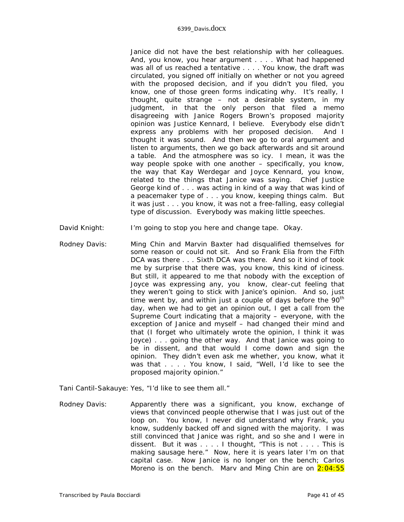Janice did not have the best relationship with her colleagues. And, you know, you hear argument . . . . What had happened was all of us reached a tentative . . . . You know, the draft was circulated, you signed off initially on whether or not you agreed with the proposed decision, and if you didn't you filed, you know, one of those green forms indicating why. It's really, I thought, quite strange – not a desirable system, in my judgment, in that the only person that filed a memo disagreeing with Janice Rogers Brown's proposed majority opinion was Justice Kennard, I believe. Everybody else didn't express any problems with her proposed decision. And I thought it was sound. And then we go to oral argument and listen to arguments, then we go back afterwards and sit around a table. And the atmosphere was so icy. I mean, it was the way people spoke with one another – specifically, you know, the way that Kay Werdegar and Joyce Kennard, you know, related to the things that Janice was saying. Chief Justice George kind of . . . was acting in kind of a way that was kind of a peacemaker type of . . . you know, keeping things calm. But it was just . . . you know, it was not a free-falling, easy collegial type of discussion. Everybody was making little speeches.

- David Knight: I'm going to stop you here and change tape. Okay.
- Rodney Davis: Ming Chin and Marvin Baxter had disqualified themselves for some reason or could not sit. And so Frank Elia from the Fifth DCA was there . . . Sixth DCA was there. And so it kind of took me by surprise that there was, you know, this kind of iciness. But still, it appeared to me that nobody with the exception of Joyce was expressing any, you know, clear-cut feeling that they weren't going to stick with Janice's opinion. And so, just time went by, and within just a couple of days before the  $90<sup>th</sup>$ day, when we had to get an opinion out, I get a call from the Supreme Court indicating that a majority – *everyone,* with the exception of Janice and myself – had changed their mind and that (I forget who ultimately wrote the opinion, I think it was Joyce) . . . going the other way. And that Janice was going to be in dissent, and that would I come down and sign the opinion. They didn't even ask me whether, you know, what it was that . . . . You know, I said, "Well, I'd like to see the proposed majority opinion."

Tani Cantil-Sakauye: Yes, "I'd like to see them all."

Rodney Davis: Apparently there was a significant, you know, exchange of views that convinced people otherwise that I was just out of the loop on. You know, I never did understand why Frank, you know, suddenly backed off and signed with the majority. I was still convinced that Janice was right, and so she and I were in dissent. But it was . . . . I thought, "This is not . . . . This is making sausage here." Now, here it is years later I'm on that capital case. Now Janice is no longer on the bench; Carlos Moreno is on the bench. Mary and Ming Chin are on  $2:04:55$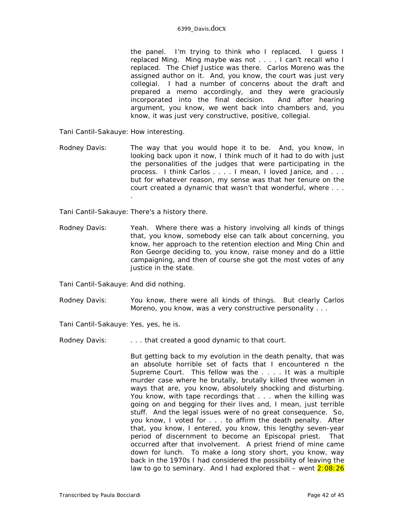the panel. I'm trying to think who I replaced. I guess I replaced Ming. Ming maybe was not . . . . I can't recall who I replaced. The Chief Justice was there. Carlos Moreno was the assigned author on it. And, you know, the court was just very collegial. I had a number of concerns about the draft and prepared a memo accordingly, and they were graciously incorporated into the final decision. And after hearing argument, you know, we went back into chambers and, you know, it was just very constructive, positive, collegial.

Tani Cantil-Sakauye: How interesting.

- Rodney Davis: The way that you would hope it to be. And, you know, in looking back upon it now, I think much of it had to do with just the personalities of the judges that were participating in the process. I think Carlos . . . . I mean, I loved Janice, and . . . but for whatever reason, my sense was that her tenure on the court created a dynamic that wasn't that wonderful, where . . .
- Tani Cantil-Sakauye: There's a history there.

.

Rodney Davis: Yeah. Where there was a history involving all kinds of things that, you know, somebody else can talk about concerning, you know, her approach to the retention election and Ming Chin and Ron George deciding to, you know, raise money and do a little campaigning, and then of course she got the most votes of any justice in the state.

Tani Cantil-Sakauye: And did nothing.

Rodney Davis: You know, there were all kinds of things. But clearly Carlos Moreno, you know, was a very constructive personality . . .

Tani Cantil-Sakauye: Yes, yes, he is.

Rodney Davis: . . . . . . that created a good dynamic to that court.

But getting back to my evolution in the death penalty, that was an absolute horrible set of facts that I encountered n the Supreme Court. This fellow was the . . . . It was a multiple murder case where he brutally, brutally killed three women in ways that are, you know, absolutely shocking and disturbing. You know, with tape recordings that . . . when the killing was going on and begging for their lives and, I mean, just terrible stuff. And the legal issues were of no great consequence. So, you know, I voted for . . . to affirm the death penalty. After that, you know, I entered, you know, this lengthy seven-year period of discernment to become an Episcopal priest. That occurred after that involvement. A priest friend of mine came down for lunch. To make a long story short, you know, way back in the 1970s I had considered the possibility of leaving the law to go to seminary. And I had explored that  $-$  went  $2:08:26$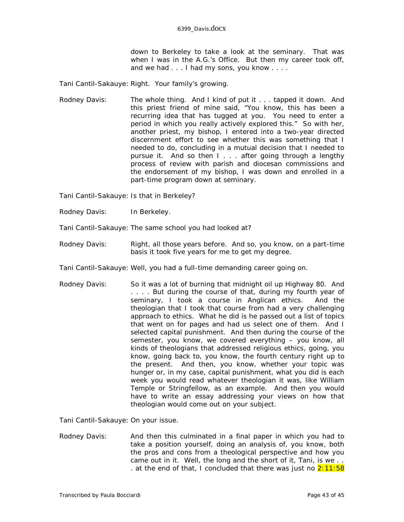down to Berkeley to take a look at the seminary. That was when I was in the A.G.'s Office. But then my career took off, and we had . . . I had my sons, you know . . . .

Tani Cantil-Sakauye: Right. Your family's growing.

Rodney Davis: The whole thing. And I kind of put it . . . tapped it down. And this priest friend of mine said, "You know, this has been a recurring idea that has tugged at you. You need to enter a period in which you really actively explored this." So with her, another priest, my bishop, I entered into a two-year directed discernment effort to see whether this was something that I needed to do, concluding in a mutual decision that I needed to pursue it. And so then I . . . after going through a lengthy process of review with parish and diocesan commissions and the endorsement of my bishop, I was down and enrolled in a part-time program down at seminary.

Tani Cantil-Sakauye: Is that in Berkeley?

Rodney Davis: In Berkeley.

Tani Cantil-Sakauye: The same school you had looked at?

- Rodney Davis: Right, all those years before. And so, you know, on a part-time basis it took five years for me to get my degree.
- Tani Cantil-Sakauye: Well, you had a full-time demanding career going on.
- Rodney Davis: So it was a lot of burning that midnight oil up Highway 80. And . . . . But during the course of that, during my fourth year of seminary, I took a course in Anglican ethics. And the theologian that I took that course from had a very challenging approach to ethics. What he did is he passed out a list of topics that went on for pages and had us select one of them. And I selected capital punishment. And then during the course of the semester, you know, we covered everything – you know, all kinds of theologians that addressed religious ethics, going, you know, going back to, you know, the fourth century right up to the present. And then, you know, whether your topic was hunger or, in my case, capital punishment, what you did is each week you would read whatever theologian it was, like William Temple or Stringfellow, as an example. And then you would have to write an essay addressing your views on how that theologian would come out on your subject.

Tani Cantil-Sakauye: On your issue.

Rodney Davis: And then this culminated in a final paper in which you had to take a position yourself, doing an analysis of, you know, both the pros and cons from a theological perspective and how you came out in it. Well, the long and the short of it, Tani, is we .. . at the end of that, I concluded that there was just no  $2:11:58$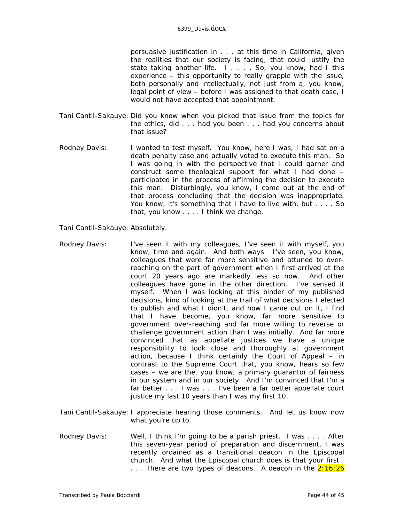persuasive justification in . . . at this time in California, given the realities that our society is facing, that could justify the state taking another life. I.... So, you know, had I this experience – this opportunity to really grapple with the issue, both personally and intellectually, not just from a, you know, legal point of view – before I was assigned to that death case, I would not have accepted that appointment.

- Tani Cantil-Sakauye: Did you know when you picked that issue from the topics for the ethics, did . . . had you been . . . had you concerns about that issue?
- Rodney Davis: I wanted to test myself. You know, here I was, I had sat on a death penalty case and actually voted to execute this man. So I was going in with the perspective that I could garner and construct some theological support for what I had done – participated in the process of affirming the decision to execute this man. Disturbingly, you know, I came out at the end of that process concluding that the decision was inappropriate. You know, it's something that I have to live with, but . . . . So that, you know . . . . I think we change.

Tani Cantil-Sakauye: Absolutely.

- Rodney Davis: I've seen it with my colleagues, I've seen it with myself, you know, time and again. And both ways. I've seen, you know, colleagues that were far more sensitive and attuned to overreaching on the part of government when I first arrived at the court 20 years ago are markedly less so now. And other colleagues have gone in the other direction. I've sensed it myself. When I was looking at this binder of my published decisions, kind of looking at the trail of what decisions I elected to publish and what I didn't, and how I came out on it, I find that I have become, you know, far more sensitive to government over-reaching and far more willing to reverse or challenge government action than I was initially. And far more convinced that as appellate justices we have a unique responsibility to look close and thoroughly at government action, because I think certainly the Court of Appeal – in contrast to the Supreme Court that, you know, hears so few cases – we are the, you know, a primary guarantor of fairness in our system and in our society. And I'm convinced that I'm a far better . . . I was . . . I've been a far better appellate court justice my last 10 years than I was my first 10.
- Tani Cantil-Sakauye: I appreciate hearing those comments. And let us know now what you're up to.
- Rodney Davis: Well, I think I'm going to be a parish priest. I was . . . . After this seven-year period of preparation and discernment, I was recently ordained as a transitional deacon in the Episcopal church. And what the Episcopal church does is that your first . ... There are two types of deacons. A deacon in the  $2:16:26$